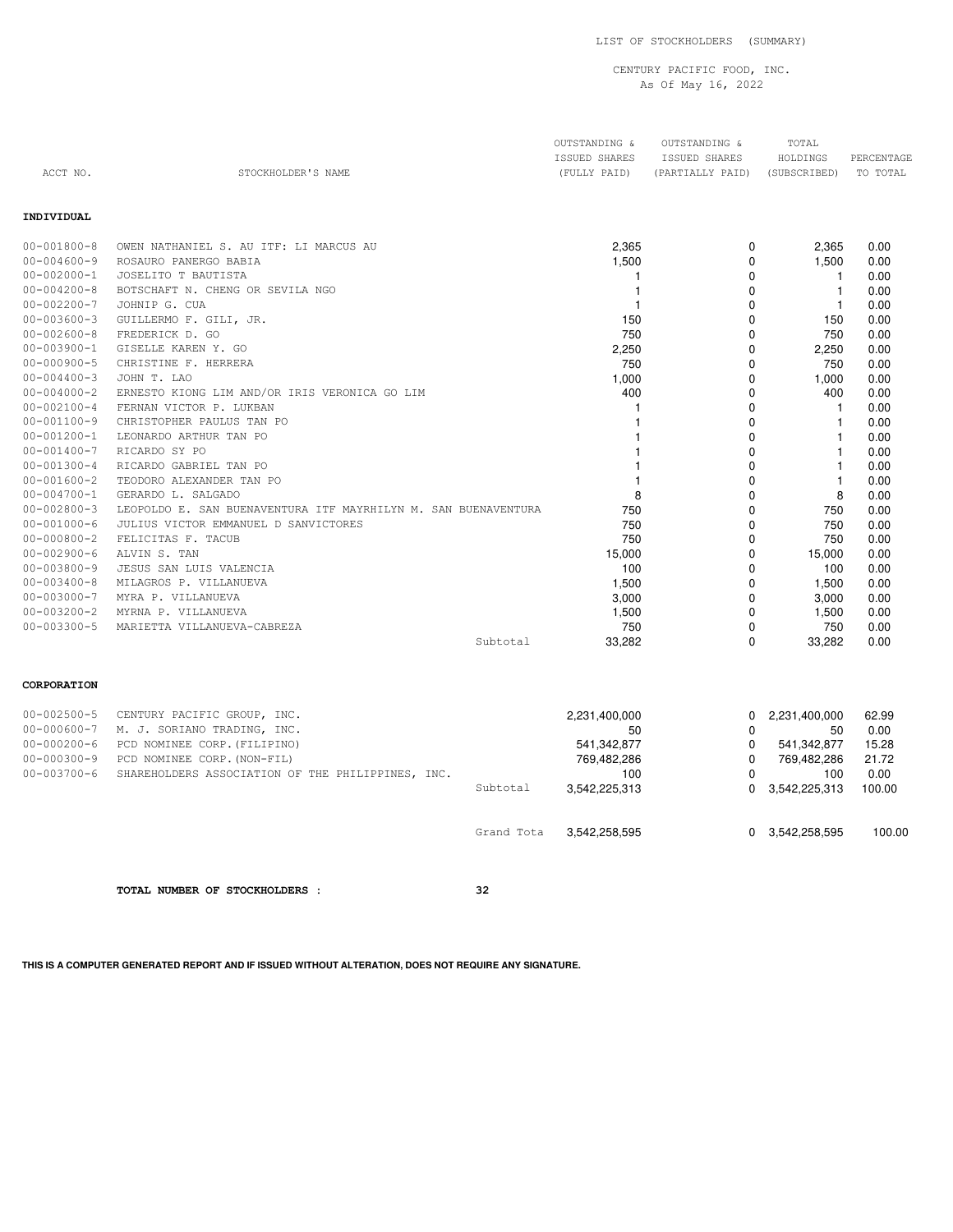LIST OF STOCKHOLDERS (SUMMARY)

## CENTURY PACIFIC FOOD, INC. As Of May 16, 2022

OUTSTANDING & OUTSTANDING & TOTAL

|                   |                                        | ISSUED SHARES | ISSUED SHARES    | HOLDINGS     | PERCENTAGE |
|-------------------|----------------------------------------|---------------|------------------|--------------|------------|
| ACCT NO.          | STOCKHOLDER'S NAME                     | (FULLY PAID)  | (PARTIALLY PAID) | (SUBSCRIBED) | TO TOTAL   |
|                   |                                        |               |                  |              |            |
|                   |                                        |               |                  |              |            |
| INDIVIDUAL        |                                        |               |                  |              |            |
|                   |                                        |               |                  |              |            |
| $00 - 001800 - 8$ | OWEN NATHANIEL S. AU ITF: LI MARCUS AU | 2,365         | 0                | 2,365        | 0.00       |
| 00-004600-9       | ROSAURO PANERGO BABIA                  | 1,500         |                  | 1,500        | 0.00       |
| $00 - 002000 - 1$ | JOSELITO T BAUTISTA                    |               | $\Omega$         |              | 0.00       |
| $00 - 004200 - 8$ | BOTSCHAFT N. CHENG OR SEVILA NGO       |               |                  |              | 0.00       |
| $00 - 002200 - 7$ | JOHNIP G. CUA                          |               |                  |              | 0.00       |
| $00 - 003600 - 3$ | GUILLERMO F. GILI, JR.                 | 150           | $\Omega$         | 150          | 0.00       |
| $00 - 002600 - 8$ | FREDERICK D. GO                        | 750           |                  | 750          | 0.00       |
| $00 - 003900 - 1$ | GISELLE KAREN Y. GO                    | 2,250         | 0                | 2,250        | 0.00       |
| $00 - 000900 - 5$ | CHRISTINE F. HERRERA                   | 750           |                  | 750          | 0.00       |
| $00 - 004400 - 3$ | JOHN T. LAO                            | 1,000         | 0                | 1,000        | 0.00       |

| $00 - 004000 - 2$<br>ERNESTO KIONG LIM AND/OR IRIS VERONICA GO LIM                  | 400    |          | 400    | 0.00 |
|-------------------------------------------------------------------------------------|--------|----------|--------|------|
| $00 - 002100 - 4$<br>FERNAN VICTOR P. LUKBAN                                        |        |          |        | 0.00 |
| $00 - 001100 - 9$<br>CHRISTOPHER PAULUS TAN PO                                      |        |          |        | 0.00 |
| $00 - 001200 - 1$<br>LEONARDO ARTHUR TAN PO                                         |        |          |        | 0.00 |
| $00 - 001400 - 7$<br>RICARDO SY PO                                                  |        |          |        | 0.00 |
| $00 - 001300 - 4$<br>RICARDO GABRIEL TAN PO                                         |        |          |        | 0.00 |
| $00 - 001600 - 2$<br>TEODORO ALEXANDER TAN PO                                       |        |          |        | 0.00 |
| $00 - 004700 - 1$<br>GERARDO L. SALGADO                                             | 8      |          | 8      | 0.00 |
| $00 - 002800 - 3$<br>LEOPOLDO E. SAN BUENAVENTURA ITF MAYRHILYN M. SAN BUENAVENTURA | 750    |          | 750    | 0.00 |
| 00-001000-6<br>JULIUS VICTOR EMMANUEL D SANVICTORES                                 | 750    |          | 750    | 0.00 |
| 00-000800-2<br>FELICITAS F. TACUB                                                   | 750    | $\Omega$ | 750    | 0.00 |
| $00 - 002900 - 6$<br>ALVIN S. TAN                                                   | 15,000 | 0        | 15,000 | 0.00 |
| $00 - 003800 - 9$<br>JESUS SAN LUIS VALENCIA                                        | 100    | $\Omega$ | 100    | 0.00 |
| $00 - 003400 - 8$<br>MILAGROS P. VILLANUEVA                                         | 1,500  | 0        | 1,500  | 0.00 |
| $00 - 003000 - 7$<br>MYRA P. VILLANUEVA                                             | 3,000  | 0        | 3,000  | 0.00 |
| $00 - 003200 - 2$<br>MYRNA P. VILLANUEVA                                            | 1,500  | 0        | 1,500  | 0.00 |
| $00 - 003300 - 5$<br>MARIETTA VILLANUEVA-CABREZA                                    | 750    | $\Omega$ | 750    | 0.00 |
| Subtotal                                                                            | 33,282 | 0        | 33,282 | 0.00 |

## **CORPORATION**

| $00 - 002500 - 5$ | CENTURY PACIFIC GROUP, INC.                       |            | 2,231,400,000 | 0 | 2,231,400,000 | 62.99  |
|-------------------|---------------------------------------------------|------------|---------------|---|---------------|--------|
| 00-000600-7       | M. J. SORIANO TRADING, INC.                       |            | 50            |   | 50            | 0.00   |
| $00 - 000200 - 6$ | PCD NOMINEE CORP. (FILIPINO)                      |            | 541.342.877   |   | 541.342.877   | 15.28  |
| $00 - 000300 - 9$ | PCD NOMINEE CORP. (NON-FIL)                       |            | 769,482,286   | 0 | 769,482,286   | 21.72  |
| $00 - 003700 - 6$ | SHAREHOLDERS ASSOCIATION OF THE PHILIPPINES, INC. |            | 100           |   | 100           | 0.00   |
|                   |                                                   | Subtotal   | 3.542.225.313 | 0 | 3.542.225.313 | 100.00 |
|                   |                                                   |            |               |   |               |        |
|                   |                                                   | Grand Tota | 3.542.258.595 |   | 3,542,258,595 | 100.00 |

**TOTAL NUMBER OF STOCKHOLDERS : 32**

**THIS IS A COMPUTER GENERATED REPORT AND IF ISSUED WITHOUT ALTERATION, DOES NOT REQUIRE ANY SIGNATURE.**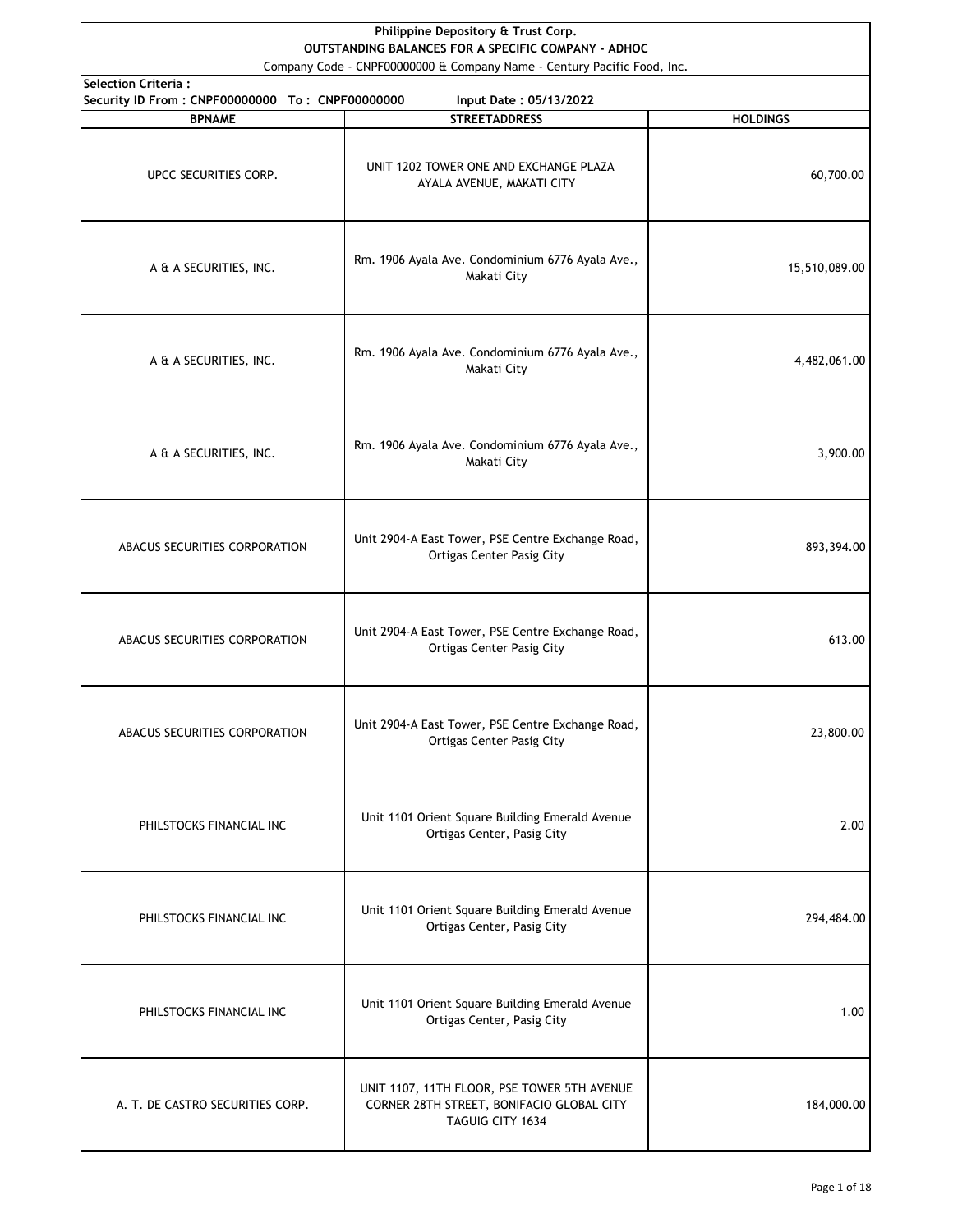| Philippine Depository & Trust Corp.<br>OUTSTANDING BALANCES FOR A SPECIFIC COMPANY - ADHOC<br>Company Code - CNPF00000000 & Company Name - Century Pacific Food, Inc. |                                                                                                              |                 |
|-----------------------------------------------------------------------------------------------------------------------------------------------------------------------|--------------------------------------------------------------------------------------------------------------|-----------------|
| <b>Selection Criteria:</b>                                                                                                                                            |                                                                                                              |                 |
| Security ID From: CNPF00000000 To: CNPF00000000<br><b>BPNAME</b>                                                                                                      | Input Date: 05/13/2022<br><b>STREETADDRESS</b>                                                               | <b>HOLDINGS</b> |
| UPCC SECURITIES CORP.                                                                                                                                                 | UNIT 1202 TOWER ONE AND EXCHANGE PLAZA<br>AYALA AVENUE, MAKATI CITY                                          | 60,700.00       |
| A & A SECURITIES, INC.                                                                                                                                                | Rm. 1906 Ayala Ave. Condominium 6776 Ayala Ave.,<br>Makati City                                              | 15,510,089.00   |
| A & A SECURITIES, INC.                                                                                                                                                | Rm. 1906 Ayala Ave. Condominium 6776 Ayala Ave.,<br>Makati City                                              | 4,482,061.00    |
| A & A SECURITIES, INC.                                                                                                                                                | Rm. 1906 Ayala Ave. Condominium 6776 Ayala Ave.,<br>Makati City                                              | 3,900.00        |
| ABACUS SECURITIES CORPORATION                                                                                                                                         | Unit 2904-A East Tower, PSE Centre Exchange Road,<br><b>Ortigas Center Pasig City</b>                        | 893,394.00      |
| ABACUS SECURITIES CORPORATION                                                                                                                                         | Unit 2904-A East Tower, PSE Centre Exchange Road,<br><b>Ortigas Center Pasig City</b>                        | 613.00          |
| ABACUS SECURITIES CORPORATION                                                                                                                                         | Unit 2904-A East Tower, PSE Centre Exchange Road,<br><b>Ortigas Center Pasig City</b>                        | 23,800.00       |
| PHILSTOCKS FINANCIAL INC                                                                                                                                              | Unit 1101 Orient Square Building Emerald Avenue<br>Ortigas Center, Pasig City                                | 2.00            |
| PHILSTOCKS FINANCIAL INC                                                                                                                                              | Unit 1101 Orient Square Building Emerald Avenue<br>Ortigas Center, Pasig City                                | 294,484.00      |
| PHILSTOCKS FINANCIAL INC                                                                                                                                              | Unit 1101 Orient Square Building Emerald Avenue<br>Ortigas Center, Pasig City                                | 1.00            |
| A. T. DE CASTRO SECURITIES CORP.                                                                                                                                      | UNIT 1107, 11TH FLOOR, PSE TOWER 5TH AVENUE<br>CORNER 28TH STREET, BONIFACIO GLOBAL CITY<br>TAGUIG CITY 1634 | 184,000.00      |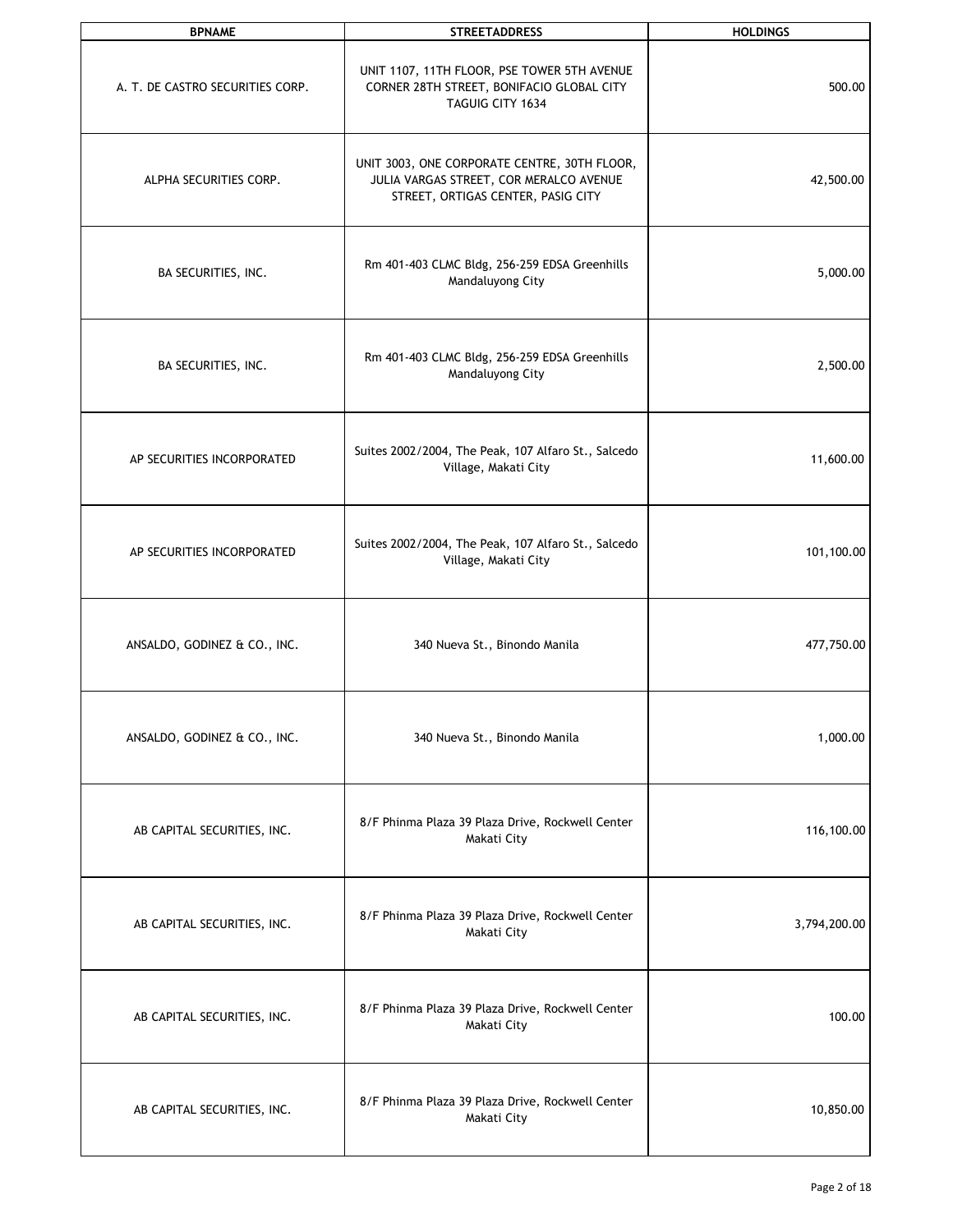| <b>BPNAME</b>                    | <b>STREETADDRESS</b>                                                                                                          | <b>HOLDINGS</b> |
|----------------------------------|-------------------------------------------------------------------------------------------------------------------------------|-----------------|
| A. T. DE CASTRO SECURITIES CORP. | UNIT 1107, 11TH FLOOR, PSE TOWER 5TH AVENUE<br>CORNER 28TH STREET, BONIFACIO GLOBAL CITY<br>TAGUIG CITY 1634                  | 500.00          |
| ALPHA SECURITIES CORP.           | UNIT 3003, ONE CORPORATE CENTRE, 30TH FLOOR,<br>JULIA VARGAS STREET, COR MERALCO AVENUE<br>STREET, ORTIGAS CENTER, PASIG CITY | 42,500.00       |
| BA SECURITIES, INC.              | Rm 401-403 CLMC Bldg, 256-259 EDSA Greenhills<br>Mandaluyong City                                                             | 5,000.00        |
| BA SECURITIES, INC.              | Rm 401-403 CLMC Bldg, 256-259 EDSA Greenhills<br>Mandaluyong City                                                             | 2,500.00        |
| AP SECURITIES INCORPORATED       | Suites 2002/2004, The Peak, 107 Alfaro St., Salcedo<br>Village, Makati City                                                   | 11,600.00       |
| AP SECURITIES INCORPORATED       | Suites 2002/2004, The Peak, 107 Alfaro St., Salcedo<br>Village, Makati City                                                   | 101,100.00      |
| ANSALDO, GODINEZ & CO., INC.     | 340 Nueva St., Binondo Manila                                                                                                 | 477,750.00      |
| ANSALDO, GODINEZ & CO., INC.     | 340 Nueva St., Binondo Manila                                                                                                 | 1,000.00        |
| AB CAPITAL SECURITIES, INC.      | 8/F Phinma Plaza 39 Plaza Drive, Rockwell Center<br>Makati City                                                               | 116,100.00      |
| AB CAPITAL SECURITIES, INC.      | 8/F Phinma Plaza 39 Plaza Drive, Rockwell Center<br>Makati City                                                               | 3,794,200.00    |
| AB CAPITAL SECURITIES, INC.      | 8/F Phinma Plaza 39 Plaza Drive, Rockwell Center<br>Makati City                                                               | 100.00          |
| AB CAPITAL SECURITIES, INC.      | 8/F Phinma Plaza 39 Plaza Drive, Rockwell Center<br>Makati City                                                               | 10,850.00       |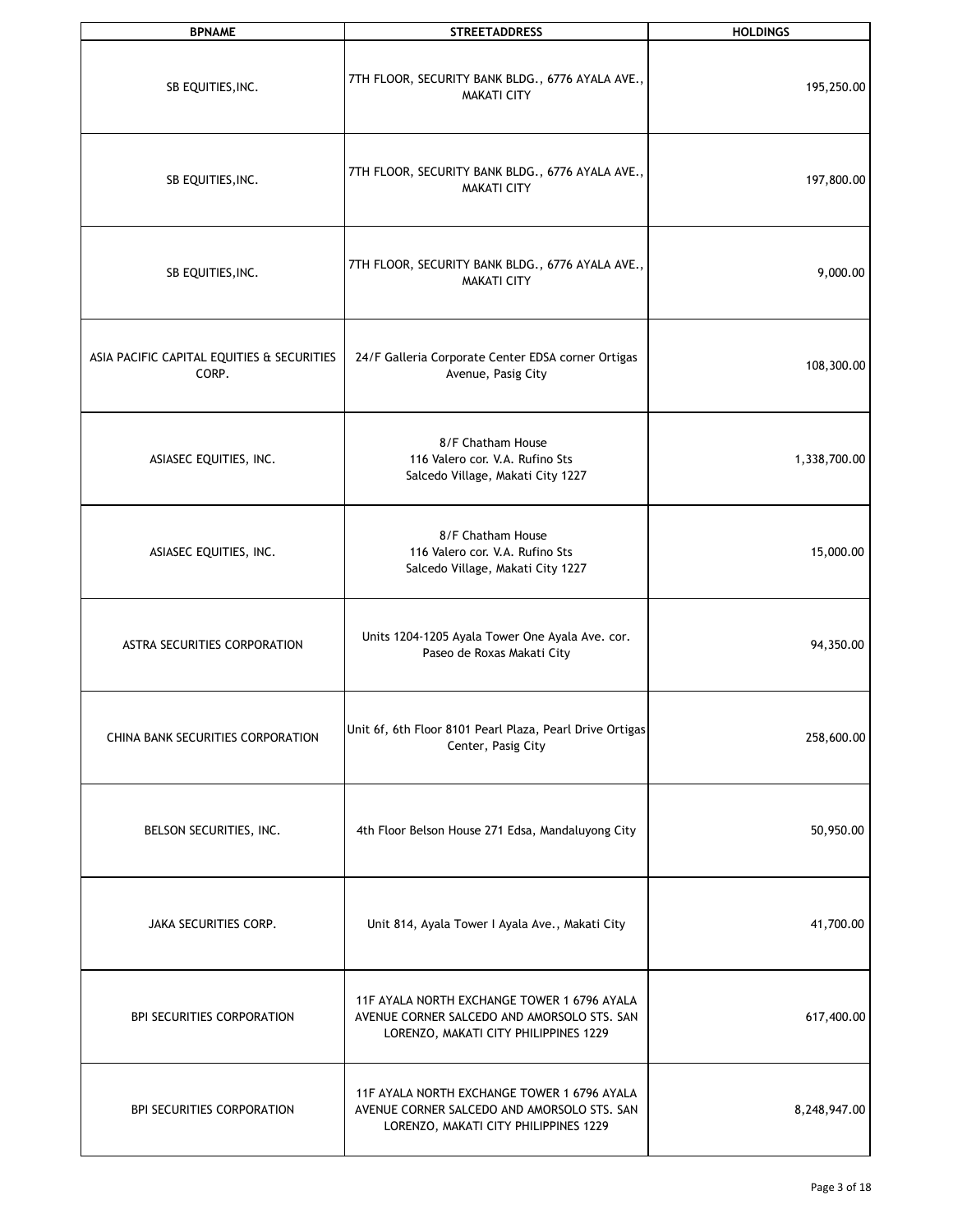| <b>BPNAME</b>                                       | <b>STREETADDRESS</b>                                                                                                                | <b>HOLDINGS</b> |
|-----------------------------------------------------|-------------------------------------------------------------------------------------------------------------------------------------|-----------------|
| SB EQUITIES, INC.                                   | 7TH FLOOR, SECURITY BANK BLDG., 6776 AYALA AVE.,<br><b>MAKATI CITY</b>                                                              | 195,250.00      |
| SB EQUITIES, INC.                                   | 7TH FLOOR, SECURITY BANK BLDG., 6776 AYALA AVE.,<br><b>MAKATI CITY</b>                                                              | 197,800.00      |
| SB EQUITIES, INC.                                   | 7TH FLOOR, SECURITY BANK BLDG., 6776 AYALA AVE.,<br><b>MAKATI CITY</b>                                                              | 9,000.00        |
| ASIA PACIFIC CAPITAL EQUITIES & SECURITIES<br>CORP. | 24/F Galleria Corporate Center EDSA corner Ortigas<br>Avenue, Pasig City                                                            | 108,300.00      |
| ASIASEC EQUITIES, INC.                              | 8/F Chatham House<br>116 Valero cor. V.A. Rufino Sts<br>Salcedo Village, Makati City 1227                                           | 1,338,700.00    |
| ASIASEC EQUITIES, INC.                              | 8/F Chatham House<br>116 Valero cor. V.A. Rufino Sts<br>Salcedo Village, Makati City 1227                                           | 15,000.00       |
| ASTRA SECURITIES CORPORATION                        | Units 1204-1205 Ayala Tower One Ayala Ave. cor.<br>Paseo de Roxas Makati City                                                       | 94,350.00       |
| CHINA BANK SECURITIES CORPORATION                   | Unit 6f, 6th Floor 8101 Pearl Plaza, Pearl Drive Ortigas<br>Center, Pasig City                                                      | 258,600.00      |
| BELSON SECURITIES, INC.                             | 4th Floor Belson House 271 Edsa, Mandaluyong City                                                                                   | 50,950.00       |
| JAKA SECURITIES CORP.                               | Unit 814, Ayala Tower I Ayala Ave., Makati City                                                                                     | 41,700.00       |
| BPI SECURITIES CORPORATION                          | 11F AYALA NORTH EXCHANGE TOWER 1 6796 AYALA<br>AVENUE CORNER SALCEDO AND AMORSOLO STS. SAN<br>LORENZO, MAKATI CITY PHILIPPINES 1229 | 617,400.00      |
| <b>BPI SECURITIES CORPORATION</b>                   | 11F AYALA NORTH EXCHANGE TOWER 1 6796 AYALA<br>AVENUE CORNER SALCEDO AND AMORSOLO STS. SAN<br>LORENZO, MAKATI CITY PHILIPPINES 1229 | 8,248,947.00    |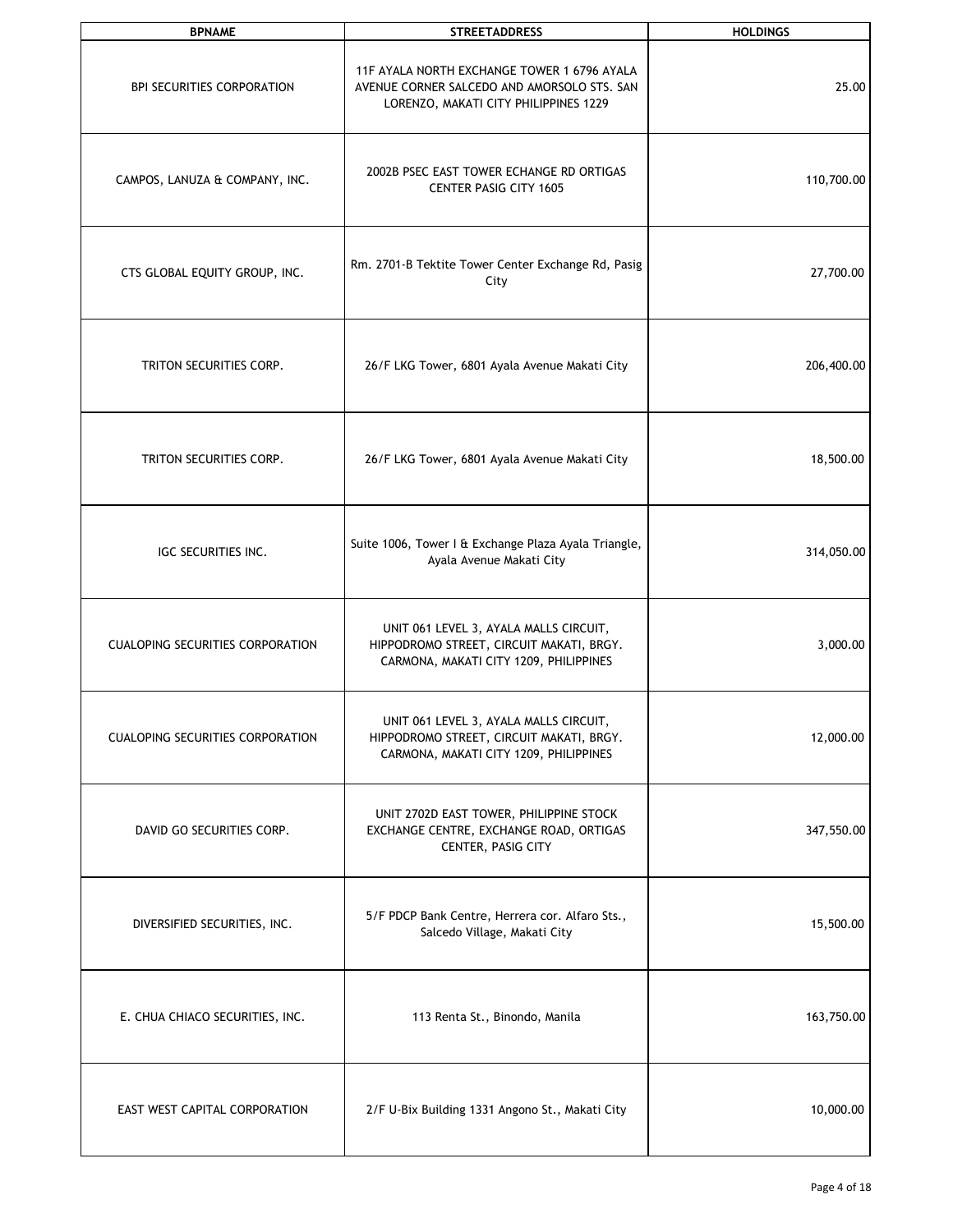| <b>BPNAME</b>                           | <b>STREETADDRESS</b>                                                                                                                | <b>HOLDINGS</b> |
|-----------------------------------------|-------------------------------------------------------------------------------------------------------------------------------------|-----------------|
| <b>BPI SECURITIES CORPORATION</b>       | 11F AYALA NORTH EXCHANGE TOWER 1 6796 AYALA<br>AVENUE CORNER SALCEDO AND AMORSOLO STS. SAN<br>LORENZO, MAKATI CITY PHILIPPINES 1229 | 25.00           |
| CAMPOS, LANUZA & COMPANY, INC.          | 2002B PSEC EAST TOWER ECHANGE RD ORTIGAS<br><b>CENTER PASIG CITY 1605</b>                                                           | 110,700.00      |
| CTS GLOBAL EQUITY GROUP, INC.           | Rm. 2701-B Tektite Tower Center Exchange Rd, Pasig<br>City                                                                          | 27,700.00       |
| TRITON SECURITIES CORP.                 | 26/F LKG Tower, 6801 Ayala Avenue Makati City                                                                                       | 206,400.00      |
| TRITON SECURITIES CORP.                 | 26/F LKG Tower, 6801 Ayala Avenue Makati City                                                                                       | 18,500.00       |
| IGC SECURITIES INC.                     | Suite 1006, Tower I & Exchange Plaza Ayala Triangle,<br>Ayala Avenue Makati City                                                    | 314,050.00      |
| <b>CUALOPING SECURITIES CORPORATION</b> | UNIT 061 LEVEL 3, AYALA MALLS CIRCUIT,<br>HIPPODROMO STREET, CIRCUIT MAKATI, BRGY.<br>CARMONA, MAKATI CITY 1209, PHILIPPINES        | 3,000.00        |
| <b>CUALOPING SECURITIES CORPORATION</b> | UNIT 061 LEVEL 3, AYALA MALLS CIRCUIT,<br>HIPPODROMO STREET, CIRCUIT MAKATI, BRGY.<br>CARMONA, MAKATI CITY 1209, PHILIPPINES        | 12,000.00       |
| DAVID GO SECURITIES CORP.               | UNIT 2702D EAST TOWER, PHILIPPINE STOCK<br>EXCHANGE CENTRE, EXCHANGE ROAD, ORTIGAS<br>CENTER, PASIG CITY                            | 347,550.00      |
| DIVERSIFIED SECURITIES, INC.            | 5/F PDCP Bank Centre, Herrera cor. Alfaro Sts.,<br>Salcedo Village, Makati City                                                     | 15,500.00       |
| E. CHUA CHIACO SECURITIES, INC.         | 113 Renta St., Binondo, Manila                                                                                                      | 163,750.00      |
| EAST WEST CAPITAL CORPORATION           | 2/F U-Bix Building 1331 Angono St., Makati City                                                                                     | 10,000.00       |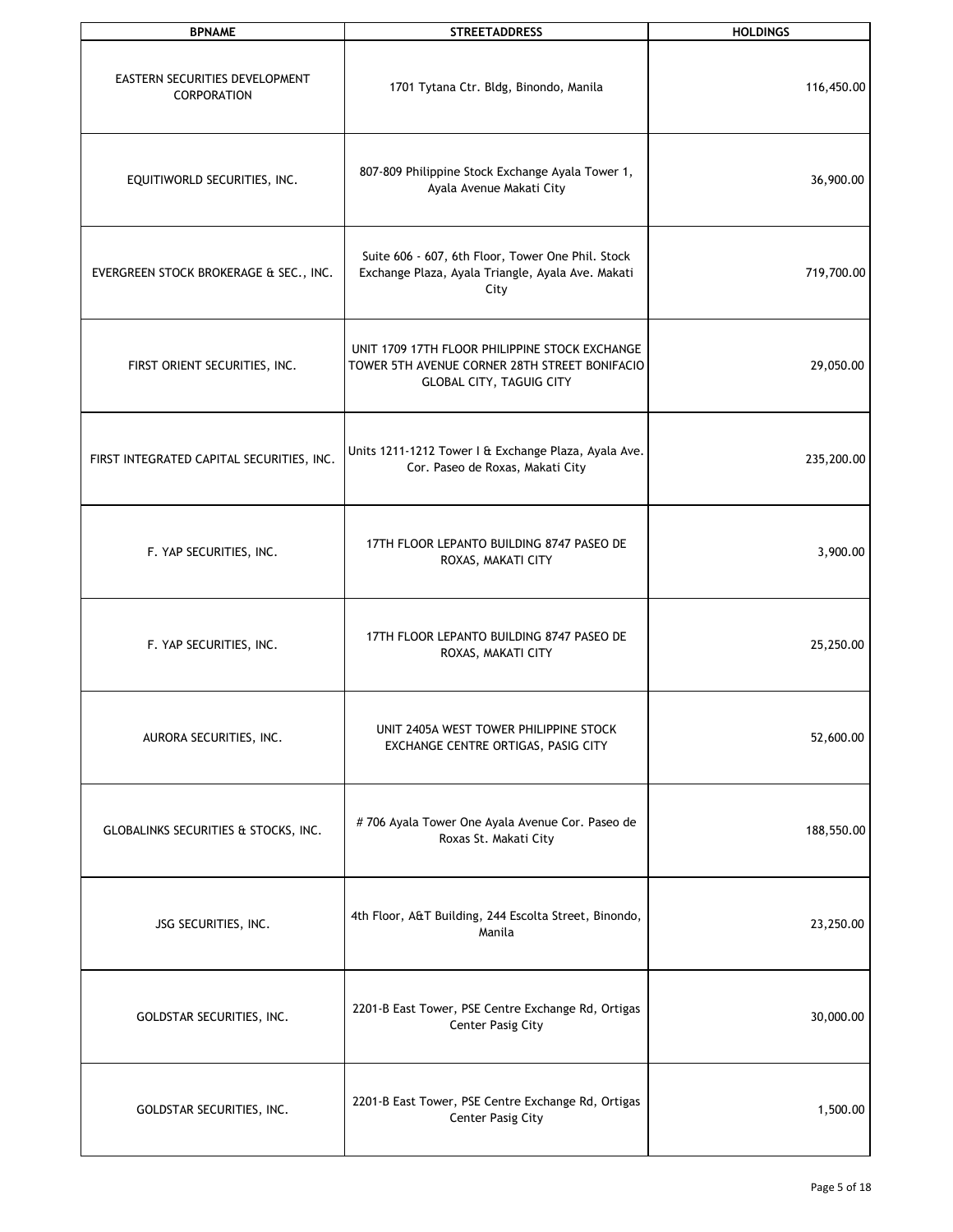| <b>BPNAME</b>                                        | <b>STREETADDRESS</b>                                                                                                               | <b>HOLDINGS</b> |
|------------------------------------------------------|------------------------------------------------------------------------------------------------------------------------------------|-----------------|
| EASTERN SECURITIES DEVELOPMENT<br><b>CORPORATION</b> | 1701 Tytana Ctr. Bldg, Binondo, Manila                                                                                             | 116,450.00      |
| EQUITIWORLD SECURITIES, INC.                         | 807-809 Philippine Stock Exchange Ayala Tower 1,<br>Ayala Avenue Makati City                                                       | 36,900.00       |
| EVERGREEN STOCK BROKERAGE & SEC., INC.               | Suite 606 - 607, 6th Floor, Tower One Phil. Stock<br>Exchange Plaza, Ayala Triangle, Ayala Ave. Makati<br>City                     | 719,700.00      |
| FIRST ORIENT SECURITIES, INC.                        | UNIT 1709 17TH FLOOR PHILIPPINE STOCK EXCHANGE<br>TOWER 5TH AVENUE CORNER 28TH STREET BONIFACIO<br><b>GLOBAL CITY, TAGUIG CITY</b> | 29,050.00       |
| FIRST INTEGRATED CAPITAL SECURITIES, INC.            | Units 1211-1212 Tower I & Exchange Plaza, Ayala Ave.<br>Cor. Paseo de Roxas, Makati City                                           | 235,200.00      |
| F. YAP SECURITIES, INC.                              | 17TH FLOOR LEPANTO BUILDING 8747 PASEO DE<br>ROXAS, MAKATI CITY                                                                    | 3,900.00        |
| F. YAP SECURITIES, INC.                              | 17TH FLOOR LEPANTO BUILDING 8747 PASEO DE<br>ROXAS, MAKATI CITY                                                                    | 25,250.00       |
| AURORA SECURITIES, INC.                              | UNIT 2405A WEST TOWER PHILIPPINE STOCK<br>EXCHANGE CENTRE ORTIGAS, PASIG CITY                                                      | 52,600.00       |
| GLOBALINKS SECURITIES & STOCKS, INC.                 | #706 Ayala Tower One Ayala Avenue Cor. Paseo de<br>Roxas St. Makati City                                                           | 188,550.00      |
| JSG SECURITIES, INC.                                 | 4th Floor, A&T Building, 244 Escolta Street, Binondo,<br>Manila                                                                    | 23,250.00       |
| GOLDSTAR SECURITIES, INC.                            | 2201-B East Tower, PSE Centre Exchange Rd, Ortigas<br><b>Center Pasig City</b>                                                     | 30,000.00       |
| GOLDSTAR SECURITIES, INC.                            | 2201-B East Tower, PSE Centre Exchange Rd, Ortigas<br><b>Center Pasig City</b>                                                     | 1,500.00        |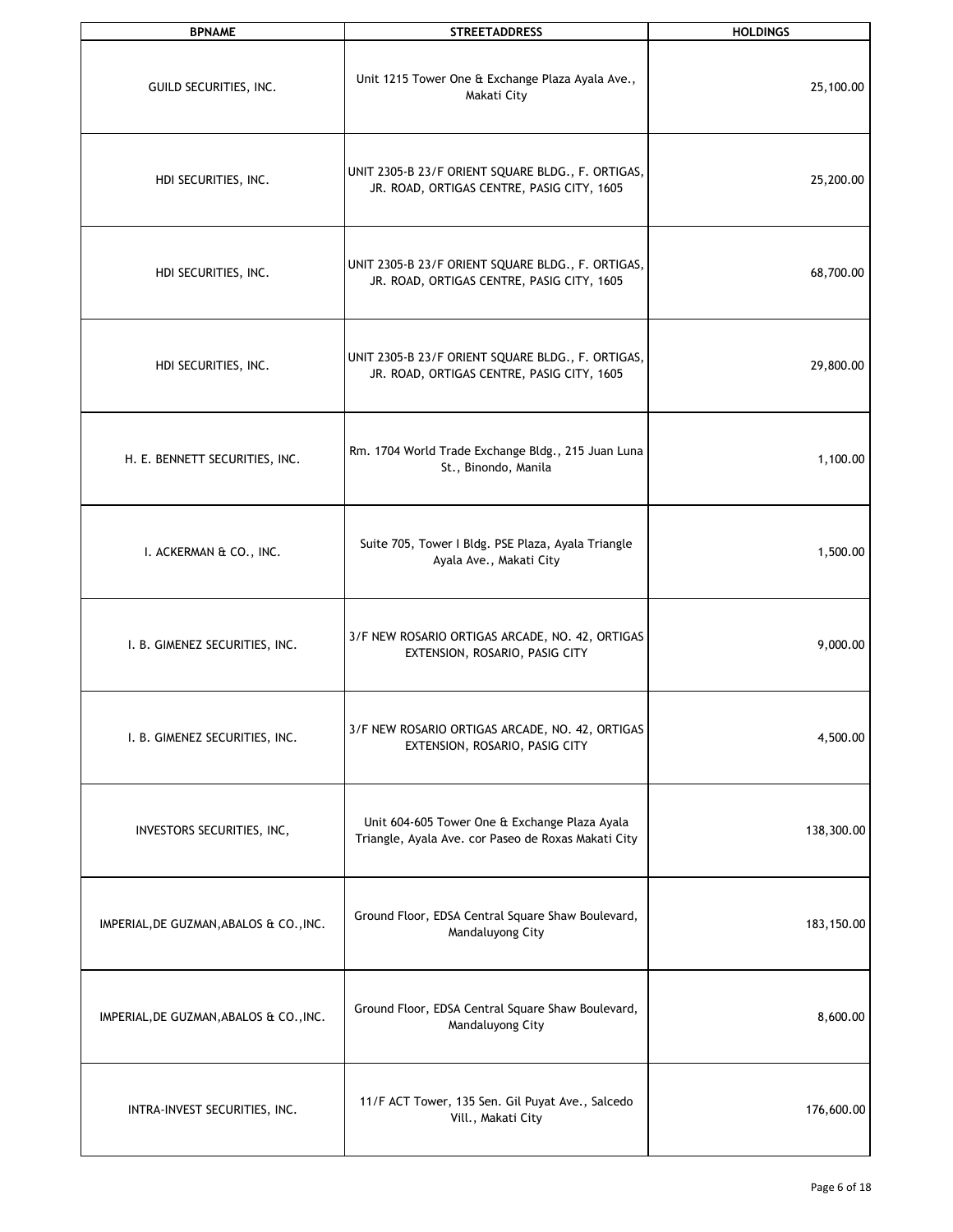| <b>BPNAME</b>                           | <b>STREETADDRESS</b>                                                                                 | <b>HOLDINGS</b> |
|-----------------------------------------|------------------------------------------------------------------------------------------------------|-----------------|
| GUILD SECURITIES, INC.                  | Unit 1215 Tower One & Exchange Plaza Ayala Ave.,<br>Makati City                                      | 25,100.00       |
| HDI SECURITIES, INC.                    | UNIT 2305-B 23/F ORIENT SQUARE BLDG., F. ORTIGAS,<br>JR. ROAD, ORTIGAS CENTRE, PASIG CITY, 1605      | 25,200.00       |
| HDI SECURITIES, INC.                    | UNIT 2305-B 23/F ORIENT SQUARE BLDG., F. ORTIGAS,<br>JR. ROAD, ORTIGAS CENTRE, PASIG CITY, 1605      | 68,700.00       |
| HDI SECURITIES, INC.                    | UNIT 2305-B 23/F ORIENT SQUARE BLDG., F. ORTIGAS,<br>JR. ROAD, ORTIGAS CENTRE, PASIG CITY, 1605      | 29,800.00       |
| H. E. BENNETT SECURITIES, INC.          | Rm. 1704 World Trade Exchange Bldg., 215 Juan Luna<br>St., Binondo, Manila                           | 1,100.00        |
| I. ACKERMAN & CO., INC.                 | Suite 705, Tower I Bldg. PSE Plaza, Ayala Triangle<br>Ayala Ave., Makati City                        | 1,500.00        |
| I. B. GIMENEZ SECURITIES, INC.          | 3/F NEW ROSARIO ORTIGAS ARCADE, NO. 42, ORTIGAS<br>EXTENSION, ROSARIO, PASIG CITY                    | 9,000.00        |
| I. B. GIMENEZ SECURITIES, INC.          | 3/F NEW ROSARIO ORTIGAS ARCADE, NO. 42, ORTIGAS<br>EXTENSION, ROSARIO, PASIG CITY                    | 4,500.00        |
| INVESTORS SECURITIES, INC,              | Unit 604-605 Tower One & Exchange Plaza Ayala<br>Triangle, Ayala Ave. cor Paseo de Roxas Makati City | 138,300.00      |
| IMPERIAL, DE GUZMAN, ABALOS & CO., INC. | Ground Floor, EDSA Central Square Shaw Boulevard,<br>Mandaluyong City                                | 183,150.00      |
| IMPERIAL, DE GUZMAN, ABALOS & CO., INC. | Ground Floor, EDSA Central Square Shaw Boulevard,<br>Mandaluyong City                                | 8,600.00        |
| INTRA-INVEST SECURITIES, INC.           | 11/F ACT Tower, 135 Sen. Gil Puyat Ave., Salcedo<br>Vill., Makati City                               | 176,600.00      |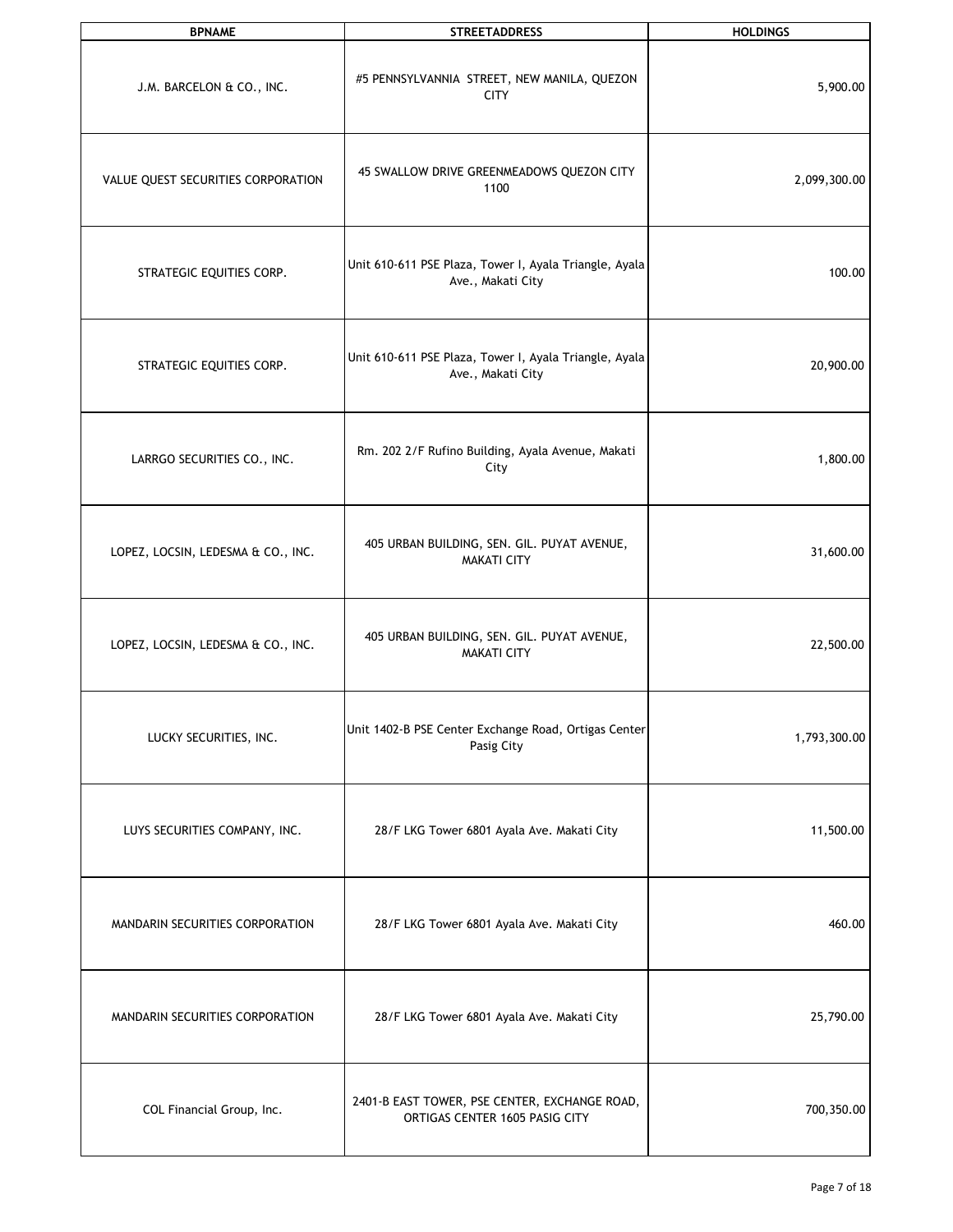| <b>BPNAME</b>                      | <b>STREETADDRESS</b>                                                            | <b>HOLDINGS</b> |
|------------------------------------|---------------------------------------------------------------------------------|-----------------|
| J.M. BARCELON & CO., INC.          | #5 PENNSYLVANNIA STREET, NEW MANILA, QUEZON<br><b>CITY</b>                      | 5,900.00        |
| VALUE QUEST SECURITIES CORPORATION | 45 SWALLOW DRIVE GREENMEADOWS QUEZON CITY<br>1100                               | 2,099,300.00    |
| STRATEGIC EQUITIES CORP.           | Unit 610-611 PSE Plaza, Tower I, Ayala Triangle, Ayala<br>Ave., Makati City     | 100.00          |
| STRATEGIC EQUITIES CORP.           | Unit 610-611 PSE Plaza, Tower I, Ayala Triangle, Ayala<br>Ave., Makati City     | 20,900.00       |
| LARRGO SECURITIES CO., INC.        | Rm. 202 2/F Rufino Building, Ayala Avenue, Makati<br>City                       | 1,800.00        |
| LOPEZ, LOCSIN, LEDESMA & CO., INC. | 405 URBAN BUILDING, SEN. GIL. PUYAT AVENUE,<br><b>MAKATI CITY</b>               | 31,600.00       |
| LOPEZ, LOCSIN, LEDESMA & CO., INC. | 405 URBAN BUILDING, SEN. GIL. PUYAT AVENUE,<br><b>MAKATI CITY</b>               | 22,500.00       |
| LUCKY SECURITIES, INC.             | Unit 1402-B PSE Center Exchange Road, Ortigas Center<br>Pasig City              | 1,793,300.00    |
| LUYS SECURITIES COMPANY, INC.      | 28/F LKG Tower 6801 Ayala Ave. Makati City                                      | 11,500.00       |
| MANDARIN SECURITIES CORPORATION    | 28/F LKG Tower 6801 Ayala Ave. Makati City                                      | 460.00          |
| MANDARIN SECURITIES CORPORATION    | 28/F LKG Tower 6801 Ayala Ave. Makati City                                      | 25,790.00       |
| COL Financial Group, Inc.          | 2401-B EAST TOWER, PSE CENTER, EXCHANGE ROAD,<br>ORTIGAS CENTER 1605 PASIG CITY | 700,350.00      |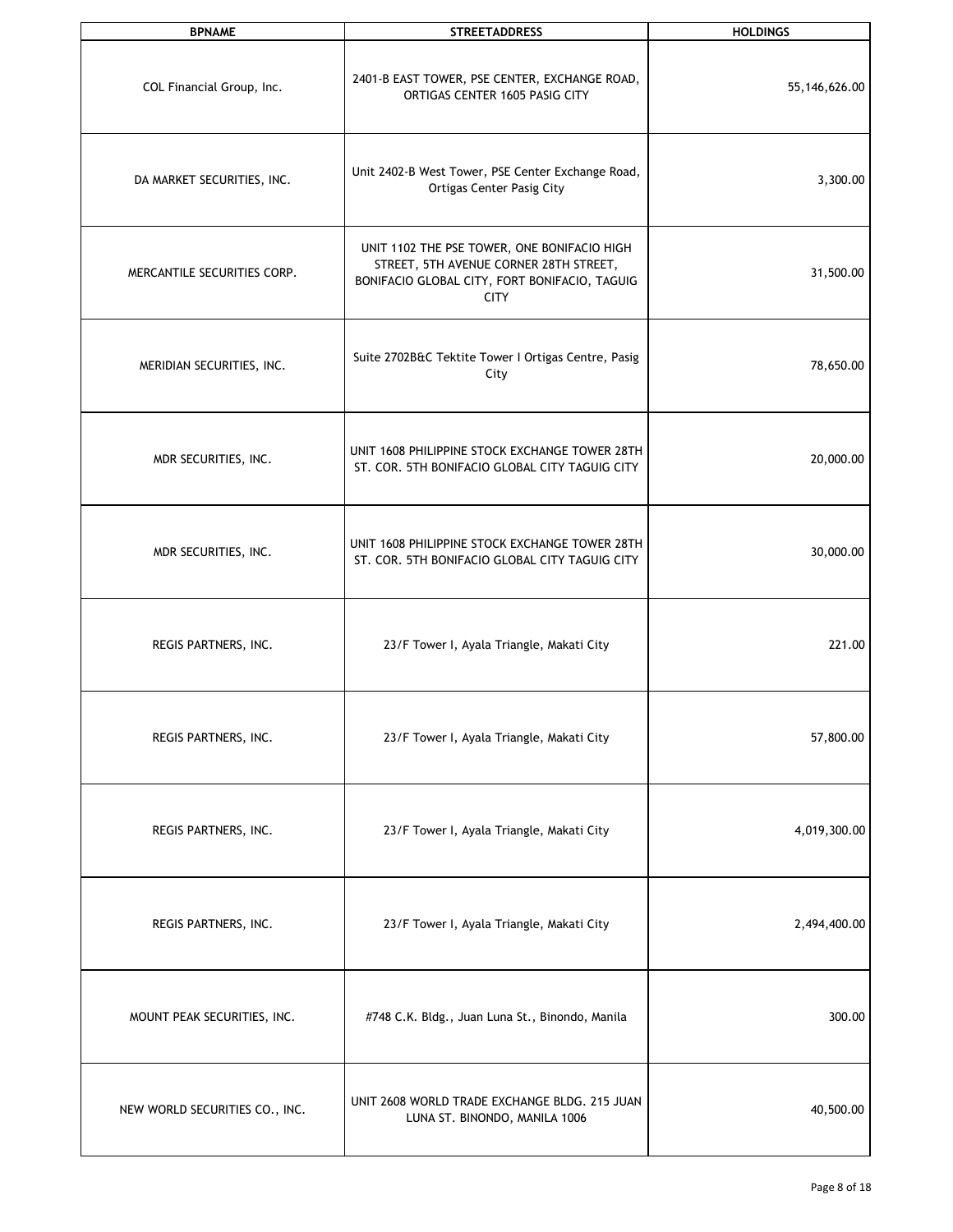| <b>BPNAME</b>                  | <b>STREETADDRESS</b>                                                                                                                                  | <b>HOLDINGS</b> |
|--------------------------------|-------------------------------------------------------------------------------------------------------------------------------------------------------|-----------------|
| COL Financial Group, Inc.      | 2401-B EAST TOWER, PSE CENTER, EXCHANGE ROAD,<br>ORTIGAS CENTER 1605 PASIG CITY                                                                       | 55,146,626.00   |
| DA MARKET SECURITIES, INC.     | Unit 2402-B West Tower, PSE Center Exchange Road,<br><b>Ortigas Center Pasig City</b>                                                                 | 3,300.00        |
| MERCANTILE SECURITIES CORP.    | UNIT 1102 THE PSE TOWER, ONE BONIFACIO HIGH<br>STREET, 5TH AVENUE CORNER 28TH STREET,<br>BONIFACIO GLOBAL CITY, FORT BONIFACIO, TAGUIG<br><b>CITY</b> | 31,500.00       |
| MERIDIAN SECURITIES, INC.      | Suite 2702B&C Tektite Tower I Ortigas Centre, Pasig<br>City                                                                                           | 78,650.00       |
| MDR SECURITIES, INC.           | UNIT 1608 PHILIPPINE STOCK EXCHANGE TOWER 28TH<br>ST. COR. 5TH BONIFACIO GLOBAL CITY TAGUIG CITY                                                      | 20,000.00       |
| MDR SECURITIES, INC.           | UNIT 1608 PHILIPPINE STOCK EXCHANGE TOWER 28TH<br>ST. COR. 5TH BONIFACIO GLOBAL CITY TAGUIG CITY                                                      | 30,000.00       |
| REGIS PARTNERS, INC.           | 23/F Tower I, Ayala Triangle, Makati City                                                                                                             | 221.00          |
| REGIS PARTNERS, INC.           | 23/F Tower I, Ayala Triangle, Makati City                                                                                                             | 57,800.00       |
| REGIS PARTNERS, INC.           | 23/F Tower I, Ayala Triangle, Makati City                                                                                                             | 4,019,300.00    |
| REGIS PARTNERS, INC.           | 23/F Tower I, Ayala Triangle, Makati City                                                                                                             | 2,494,400.00    |
| MOUNT PEAK SECURITIES, INC.    | #748 C.K. Bldg., Juan Luna St., Binondo, Manila                                                                                                       | 300.00          |
| NEW WORLD SECURITIES CO., INC. | UNIT 2608 WORLD TRADE EXCHANGE BLDG. 215 JUAN<br>LUNA ST. BINONDO, MANILA 1006                                                                        | 40,500.00       |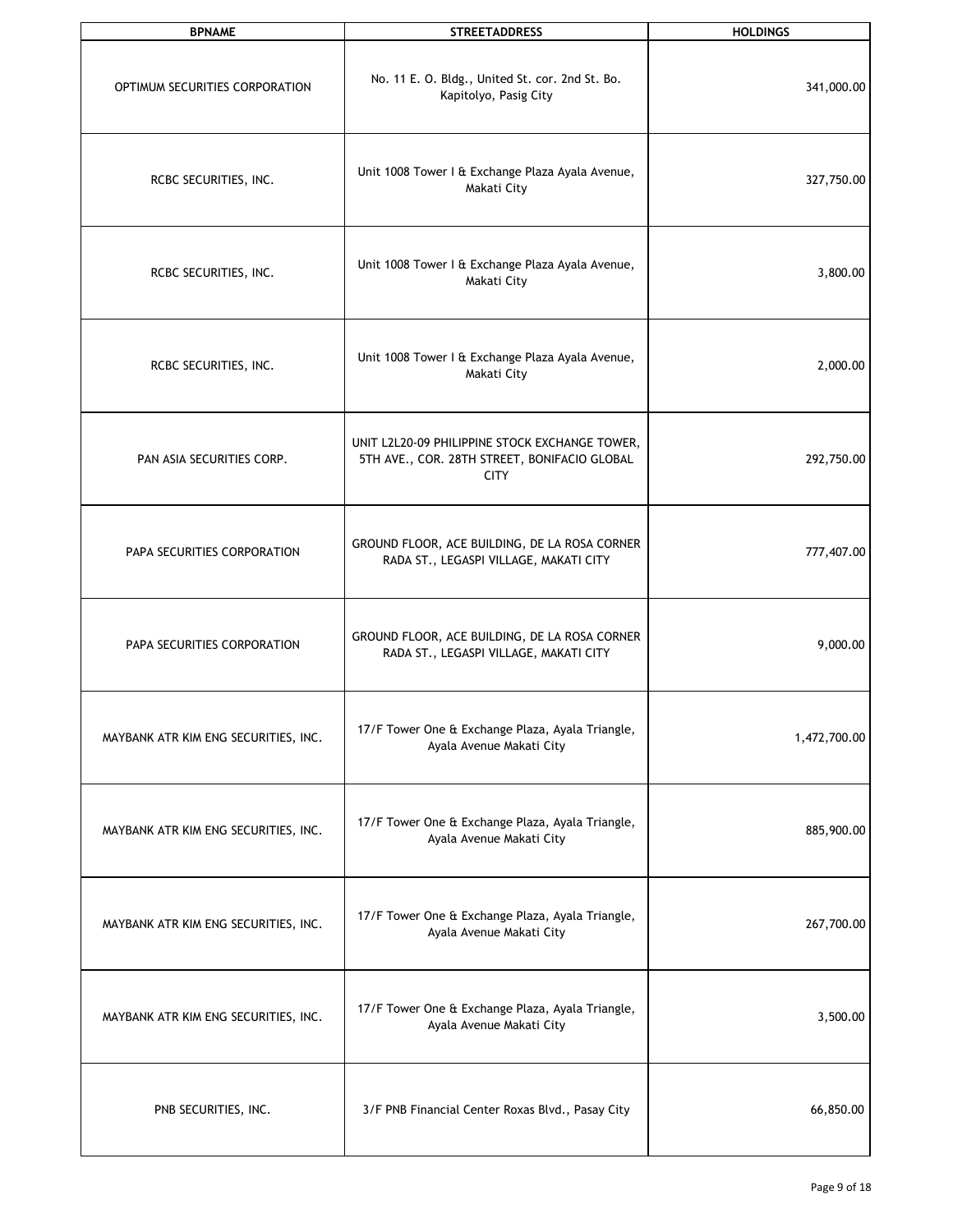| <b>BPNAME</b>                        | <b>STREETADDRESS</b>                                                                                          | <b>HOLDINGS</b> |
|--------------------------------------|---------------------------------------------------------------------------------------------------------------|-----------------|
| OPTIMUM SECURITIES CORPORATION       | No. 11 E. O. Bldg., United St. cor. 2nd St. Bo.<br>Kapitolyo, Pasig City                                      | 341,000.00      |
| RCBC SECURITIES, INC.                | Unit 1008 Tower I & Exchange Plaza Ayala Avenue,<br>Makati City                                               | 327,750.00      |
| RCBC SECURITIES, INC.                | Unit 1008 Tower I & Exchange Plaza Ayala Avenue,<br>Makati City                                               | 3,800.00        |
| RCBC SECURITIES, INC.                | Unit 1008 Tower I & Exchange Plaza Ayala Avenue,<br>Makati City                                               | 2,000.00        |
| PAN ASIA SECURITIES CORP.            | UNIT L2L20-09 PHILIPPINE STOCK EXCHANGE TOWER,<br>5TH AVE., COR. 28TH STREET, BONIFACIO GLOBAL<br><b>CITY</b> | 292,750.00      |
| PAPA SECURITIES CORPORATION          | GROUND FLOOR, ACE BUILDING, DE LA ROSA CORNER<br>RADA ST., LEGASPI VILLAGE, MAKATI CITY                       | 777,407.00      |
| PAPA SECURITIES CORPORATION          | GROUND FLOOR, ACE BUILDING, DE LA ROSA CORNER<br>RADA ST., LEGASPI VILLAGE, MAKATI CITY                       | 9,000.00        |
| MAYBANK ATR KIM ENG SECURITIES, INC. | 17/F Tower One & Exchange Plaza, Ayala Triangle,<br>Ayala Avenue Makati City                                  | 1,472,700.00    |
| MAYBANK ATR KIM ENG SECURITIES, INC. | 17/F Tower One & Exchange Plaza, Ayala Triangle,<br>Ayala Avenue Makati City                                  | 885,900.00      |
| MAYBANK ATR KIM ENG SECURITIES, INC. | 17/F Tower One & Exchange Plaza, Ayala Triangle,<br>Ayala Avenue Makati City                                  | 267,700.00      |
| MAYBANK ATR KIM ENG SECURITIES, INC. | 17/F Tower One & Exchange Plaza, Ayala Triangle,<br>Ayala Avenue Makati City                                  | 3,500.00        |
| PNB SECURITIES, INC.                 | 3/F PNB Financial Center Roxas Blvd., Pasay City                                                              | 66,850.00       |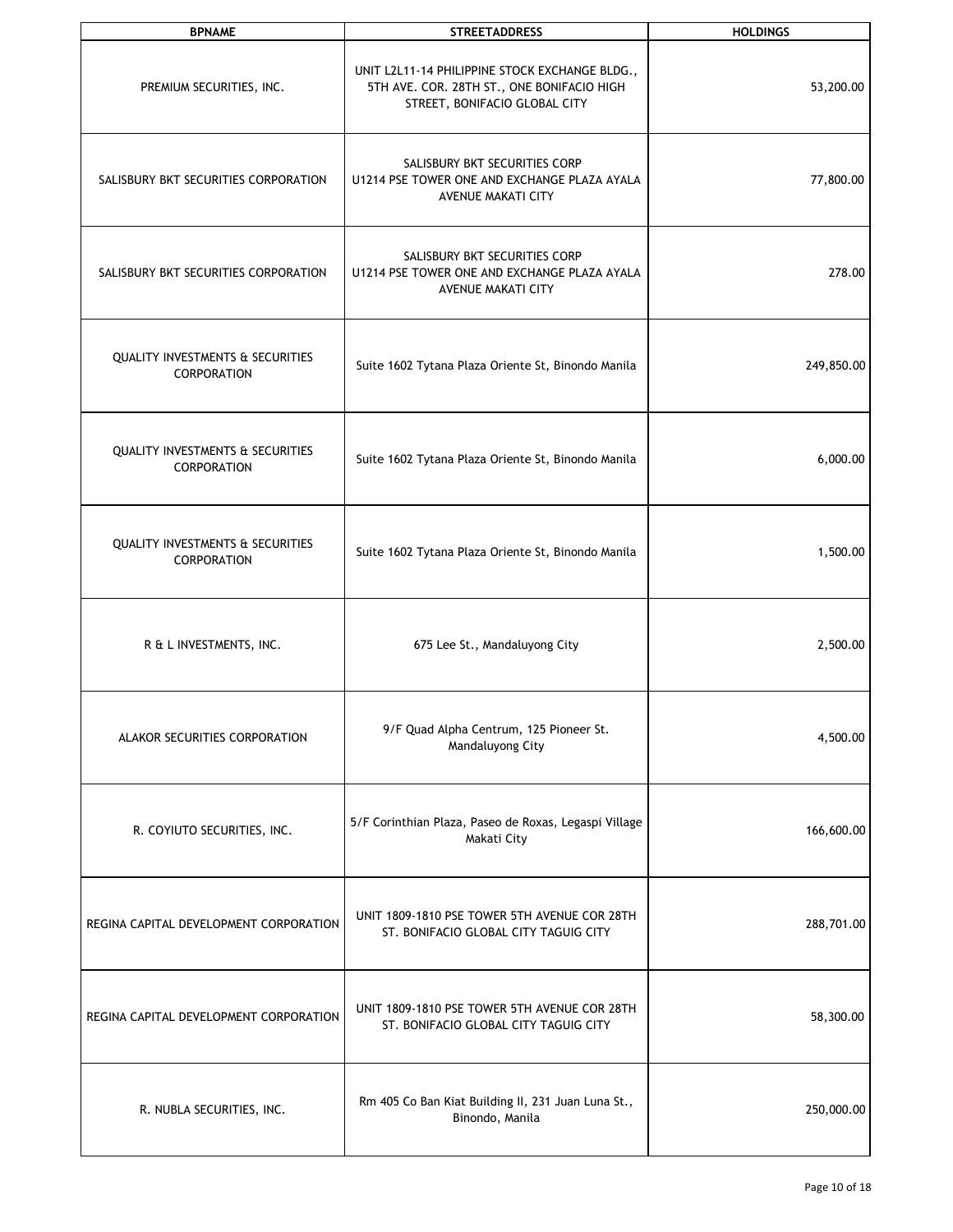| <b>BPNAME</b>                                                     | <b>STREETADDRESS</b>                                                                                                          | <b>HOLDINGS</b> |
|-------------------------------------------------------------------|-------------------------------------------------------------------------------------------------------------------------------|-----------------|
| PREMIUM SECURITIES, INC.                                          | UNIT L2L11-14 PHILIPPINE STOCK EXCHANGE BLDG.,<br>5TH AVE. COR. 28TH ST., ONE BONIFACIO HIGH<br>STREET, BONIFACIO GLOBAL CITY | 53,200.00       |
| SALISBURY BKT SECURITIES CORPORATION                              | SALISBURY BKT SECURITIES CORP<br>U1214 PSE TOWER ONE AND EXCHANGE PLAZA AYALA<br>AVENUE MAKATI CITY                           | 77,800.00       |
| SALISBURY BKT SECURITIES CORPORATION                              | SALISBURY BKT SECURITIES CORP<br>U1214 PSE TOWER ONE AND EXCHANGE PLAZA AYALA<br>AVENUE MAKATI CITY                           | 278.00          |
| <b>QUALITY INVESTMENTS &amp; SECURITIES</b><br><b>CORPORATION</b> | Suite 1602 Tytana Plaza Oriente St, Binondo Manila                                                                            | 249,850.00      |
| <b>QUALITY INVESTMENTS &amp; SECURITIES</b><br>CORPORATION        | Suite 1602 Tytana Plaza Oriente St, Binondo Manila                                                                            | 6,000.00        |
| <b>QUALITY INVESTMENTS &amp; SECURITIES</b><br>CORPORATION        | Suite 1602 Tytana Plaza Oriente St, Binondo Manila                                                                            | 1,500.00        |
| R & L INVESTMENTS, INC.                                           | 675 Lee St., Mandaluyong City                                                                                                 | 2,500.00        |
| ALAKOR SECURITIES CORPORATION                                     | 9/F Quad Alpha Centrum, 125 Pioneer St.<br>Mandaluyong City                                                                   | 4,500.00        |
| R. COYIUTO SECURITIES, INC.                                       | 5/F Corinthian Plaza, Paseo de Roxas, Legaspi Village<br>Makati City                                                          | 166,600.00      |
| REGINA CAPITAL DEVELOPMENT CORPORATION                            | UNIT 1809-1810 PSE TOWER 5TH AVENUE COR 28TH<br>ST. BONIFACIO GLOBAL CITY TAGUIG CITY                                         | 288,701.00      |
| REGINA CAPITAL DEVELOPMENT CORPORATION                            | UNIT 1809-1810 PSE TOWER 5TH AVENUE COR 28TH<br>ST. BONIFACIO GLOBAL CITY TAGUIG CITY                                         | 58,300.00       |
| R. NUBLA SECURITIES, INC.                                         | Rm 405 Co Ban Kiat Building II, 231 Juan Luna St.,<br>Binondo, Manila                                                         | 250,000.00      |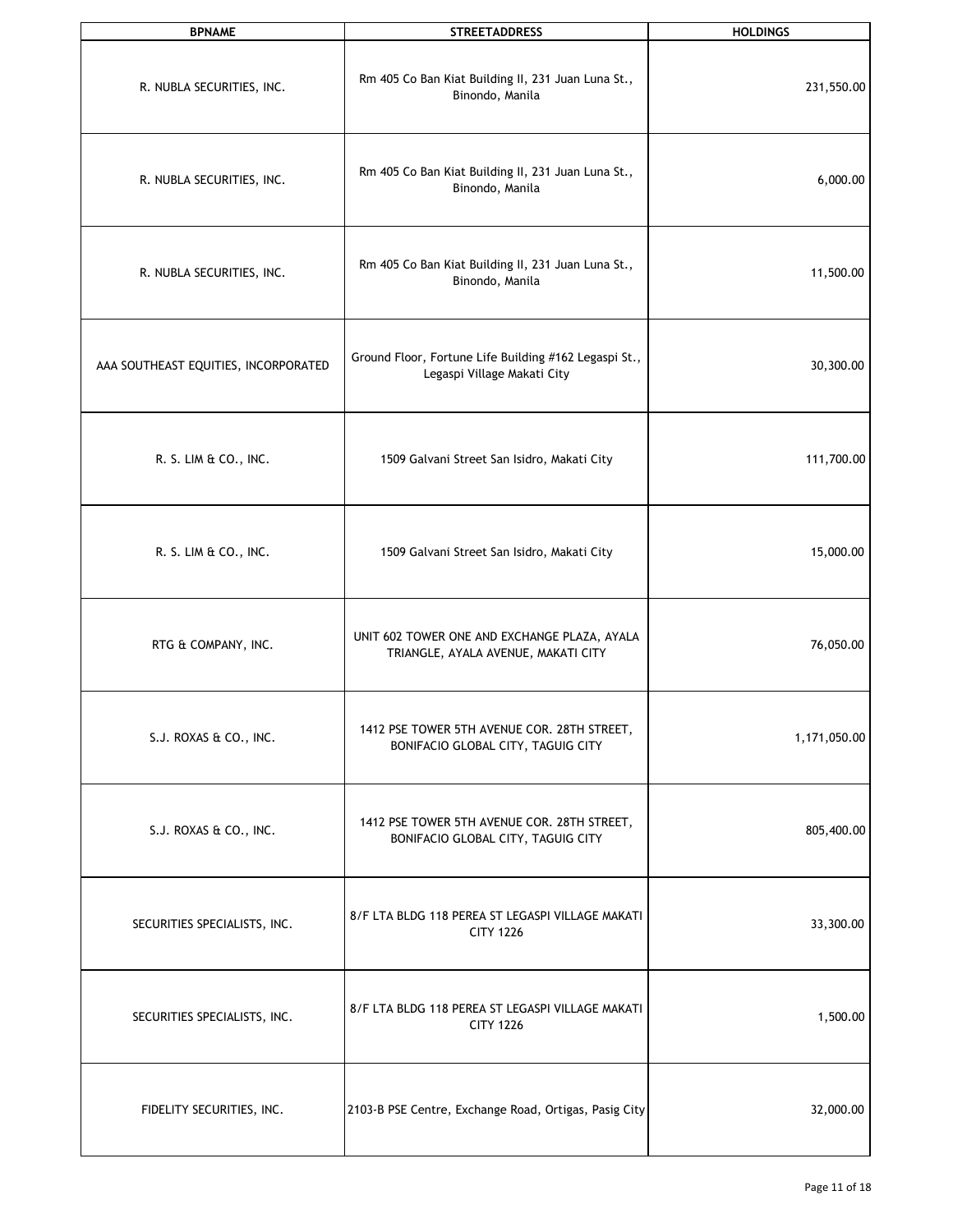| <b>BPNAME</b>                        | <b>STREETADDRESS</b>                                                                 | <b>HOLDINGS</b> |
|--------------------------------------|--------------------------------------------------------------------------------------|-----------------|
| R. NUBLA SECURITIES, INC.            | Rm 405 Co Ban Kiat Building II, 231 Juan Luna St.,<br>Binondo, Manila                | 231,550.00      |
| R. NUBLA SECURITIES, INC.            | Rm 405 Co Ban Kiat Building II, 231 Juan Luna St.,<br>Binondo, Manila                | 6,000.00        |
| R. NUBLA SECURITIES, INC.            | Rm 405 Co Ban Kiat Building II, 231 Juan Luna St.,<br>Binondo, Manila                | 11,500.00       |
| AAA SOUTHEAST EQUITIES, INCORPORATED | Ground Floor, Fortune Life Building #162 Legaspi St.,<br>Legaspi Village Makati City | 30,300.00       |
| R. S. LIM & CO., INC.                | 1509 Galvani Street San Isidro, Makati City                                          | 111,700.00      |
| R. S. LIM & CO., INC.                | 1509 Galvani Street San Isidro, Makati City                                          | 15,000.00       |
| RTG & COMPANY, INC.                  | UNIT 602 TOWER ONE AND EXCHANGE PLAZA, AYALA<br>TRIANGLE, AYALA AVENUE, MAKATI CITY  | 76,050.00       |
| S.J. ROXAS & CO., INC.               | 1412 PSE TOWER 5TH AVENUE COR. 28TH STREET,<br>BONIFACIO GLOBAL CITY, TAGUIG CITY    | 1,171,050.00    |
| S.J. ROXAS & CO., INC.               | 1412 PSE TOWER 5TH AVENUE COR. 28TH STREET,<br>BONIFACIO GLOBAL CITY, TAGUIG CITY    | 805,400.00      |
| SECURITIES SPECIALISTS, INC.         | 8/F LTA BLDG 118 PEREA ST LEGASPI VILLAGE MAKATI<br><b>CITY 1226</b>                 | 33,300.00       |
| SECURITIES SPECIALISTS, INC.         | 8/F LTA BLDG 118 PEREA ST LEGASPI VILLAGE MAKATI<br><b>CITY 1226</b>                 | 1,500.00        |
| FIDELITY SECURITIES, INC.            | 2103-B PSE Centre, Exchange Road, Ortigas, Pasig City                                | 32,000.00       |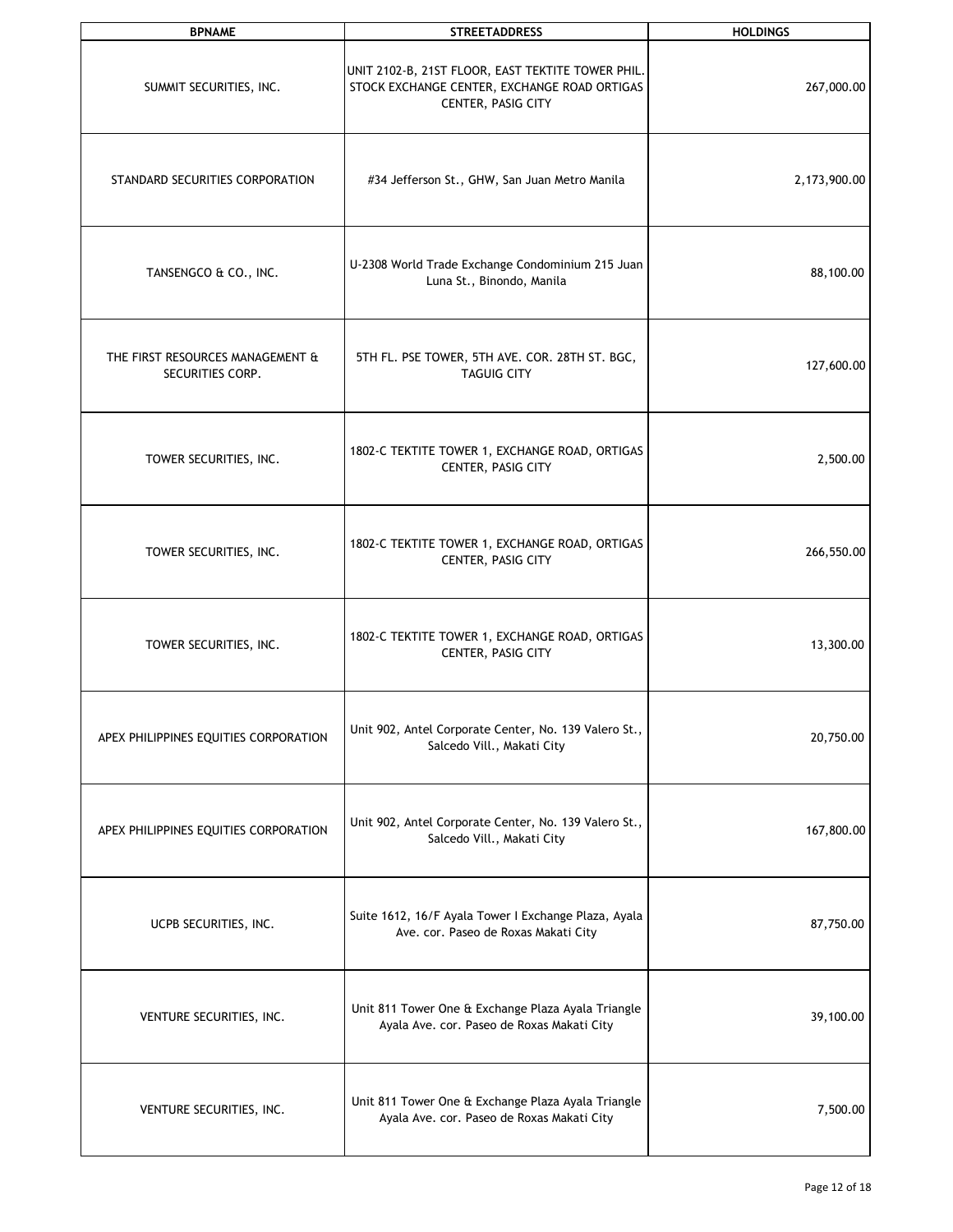| <b>BPNAME</b>                                        | <b>STREETADDRESS</b>                                                                                                    | <b>HOLDINGS</b> |
|------------------------------------------------------|-------------------------------------------------------------------------------------------------------------------------|-----------------|
| SUMMIT SECURITIES, INC.                              | UNIT 2102-B, 21ST FLOOR, EAST TEKTITE TOWER PHIL.<br>STOCK EXCHANGE CENTER, EXCHANGE ROAD ORTIGAS<br>CENTER, PASIG CITY | 267,000.00      |
| STANDARD SECURITIES CORPORATION                      | #34 Jefferson St., GHW, San Juan Metro Manila                                                                           | 2,173,900.00    |
| TANSENGCO & CO., INC.                                | U-2308 World Trade Exchange Condominium 215 Juan<br>Luna St., Binondo, Manila                                           | 88,100.00       |
| THE FIRST RESOURCES MANAGEMENT &<br>SECURITIES CORP. | 5TH FL. PSE TOWER, 5TH AVE. COR. 28TH ST. BGC,<br><b>TAGUIG CITY</b>                                                    | 127,600.00      |
| TOWER SECURITIES, INC.                               | 1802-C TEKTITE TOWER 1, EXCHANGE ROAD, ORTIGAS<br>CENTER, PASIG CITY                                                    | 2,500.00        |
| TOWER SECURITIES, INC.                               | 1802-C TEKTITE TOWER 1, EXCHANGE ROAD, ORTIGAS<br>CENTER, PASIG CITY                                                    | 266,550.00      |
| TOWER SECURITIES, INC.                               | 1802-C TEKTITE TOWER 1, EXCHANGE ROAD, ORTIGAS<br>CENTER, PASIG CITY                                                    | 13,300.00       |
| APEX PHILIPPINES EQUITIES CORPORATION                | Unit 902, Antel Corporate Center, No. 139 Valero St.,<br>Salcedo Vill., Makati City                                     | 20,750.00       |
| APEX PHILIPPINES EQUITIES CORPORATION                | Unit 902, Antel Corporate Center, No. 139 Valero St.,<br>Salcedo Vill., Makati City                                     | 167,800.00      |
| UCPB SECURITIES, INC.                                | Suite 1612, 16/F Ayala Tower I Exchange Plaza, Ayala<br>Ave. cor. Paseo de Roxas Makati City                            | 87,750.00       |
| VENTURE SECURITIES, INC.                             | Unit 811 Tower One & Exchange Plaza Ayala Triangle<br>Ayala Ave. cor. Paseo de Roxas Makati City                        | 39,100.00       |
| VENTURE SECURITIES, INC.                             | Unit 811 Tower One & Exchange Plaza Ayala Triangle<br>Ayala Ave. cor. Paseo de Roxas Makati City                        | 7,500.00        |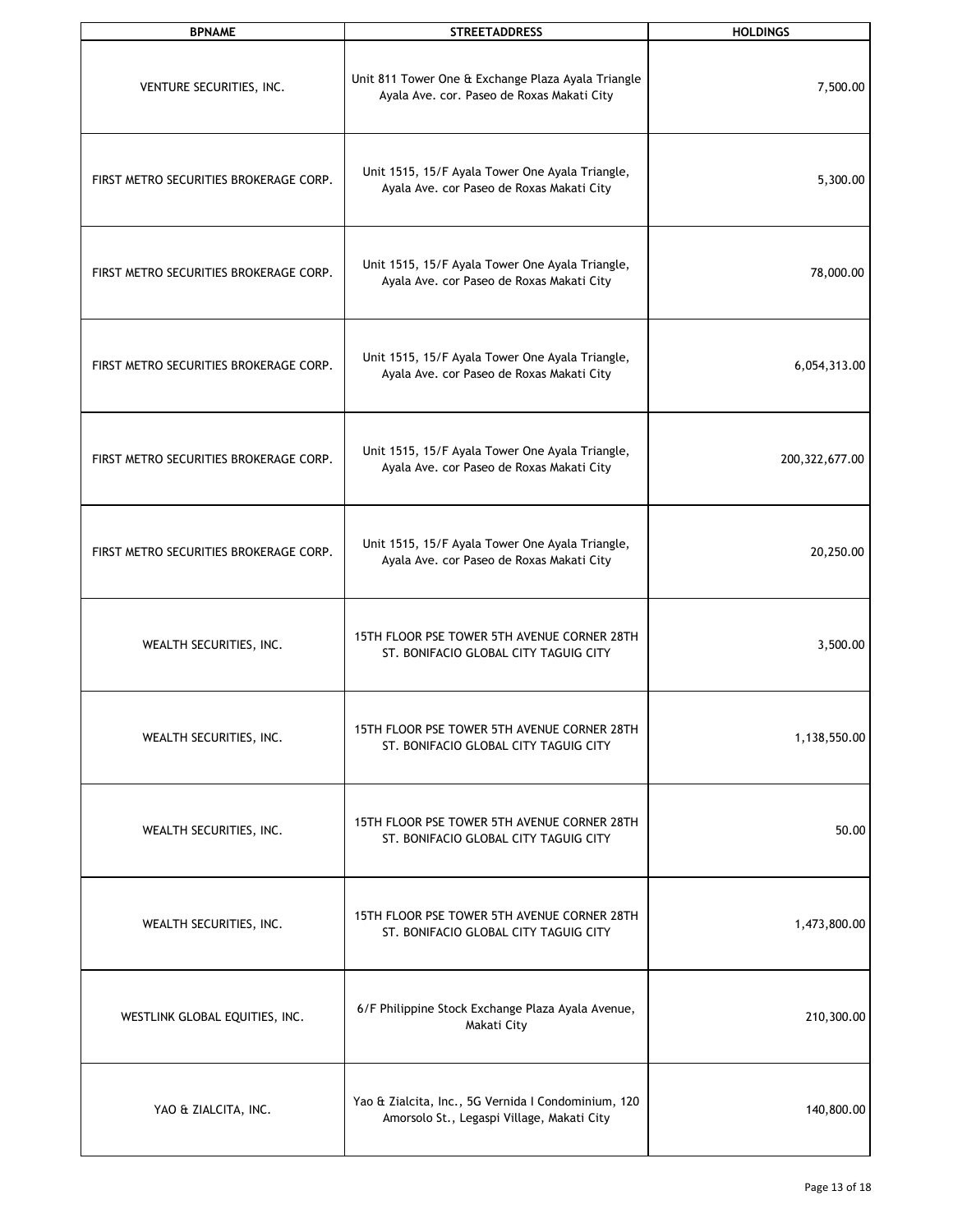| <b>BPNAME</b>                          | <b>STREETADDRESS</b>                                                                              | <b>HOLDINGS</b>  |
|----------------------------------------|---------------------------------------------------------------------------------------------------|------------------|
| VENTURE SECURITIES, INC.               | Unit 811 Tower One & Exchange Plaza Ayala Triangle<br>Ayala Ave. cor. Paseo de Roxas Makati City  | 7,500.00         |
| FIRST METRO SECURITIES BROKERAGE CORP. | Unit 1515, 15/F Ayala Tower One Ayala Triangle,<br>Ayala Ave. cor Paseo de Roxas Makati City      | 5,300.00         |
| FIRST METRO SECURITIES BROKERAGE CORP. | Unit 1515, 15/F Ayala Tower One Ayala Triangle,<br>Ayala Ave. cor Paseo de Roxas Makati City      | 78,000.00        |
| FIRST METRO SECURITIES BROKERAGE CORP. | Unit 1515, 15/F Ayala Tower One Ayala Triangle,<br>Ayala Ave. cor Paseo de Roxas Makati City      | 6,054,313.00     |
| FIRST METRO SECURITIES BROKERAGE CORP. | Unit 1515, 15/F Ayala Tower One Ayala Triangle,<br>Ayala Ave. cor Paseo de Roxas Makati City      | 200, 322, 677.00 |
| FIRST METRO SECURITIES BROKERAGE CORP. | Unit 1515, 15/F Ayala Tower One Ayala Triangle,<br>Ayala Ave. cor Paseo de Roxas Makati City      | 20,250.00        |
| WEALTH SECURITIES, INC.                | 15TH FLOOR PSE TOWER 5TH AVENUE CORNER 28TH<br>ST. BONIFACIO GLOBAL CITY TAGUIG CITY              | 3,500.00         |
| WEALTH SECURITIES, INC.                | 15TH FLOOR PSE TOWER 5TH AVENUE CORNER 28TH<br>ST. BONIFACIO GLOBAL CITY TAGUIG CITY              | 1,138,550.00     |
| WEALTH SECURITIES, INC.                | 15TH FLOOR PSE TOWER 5TH AVENUE CORNER 28TH<br>ST. BONIFACIO GLOBAL CITY TAGUIG CITY              | 50.00            |
| WEALTH SECURITIES, INC.                | 15TH FLOOR PSE TOWER 5TH AVENUE CORNER 28TH<br>ST. BONIFACIO GLOBAL CITY TAGUIG CITY              | 1,473,800.00     |
| WESTLINK GLOBAL EQUITIES, INC.         | 6/F Philippine Stock Exchange Plaza Ayala Avenue,<br>Makati City                                  | 210,300.00       |
| YAO & ZIALCITA, INC.                   | Yao & Zialcita, Inc., 5G Vernida I Condominium, 120<br>Amorsolo St., Legaspi Village, Makati City | 140,800.00       |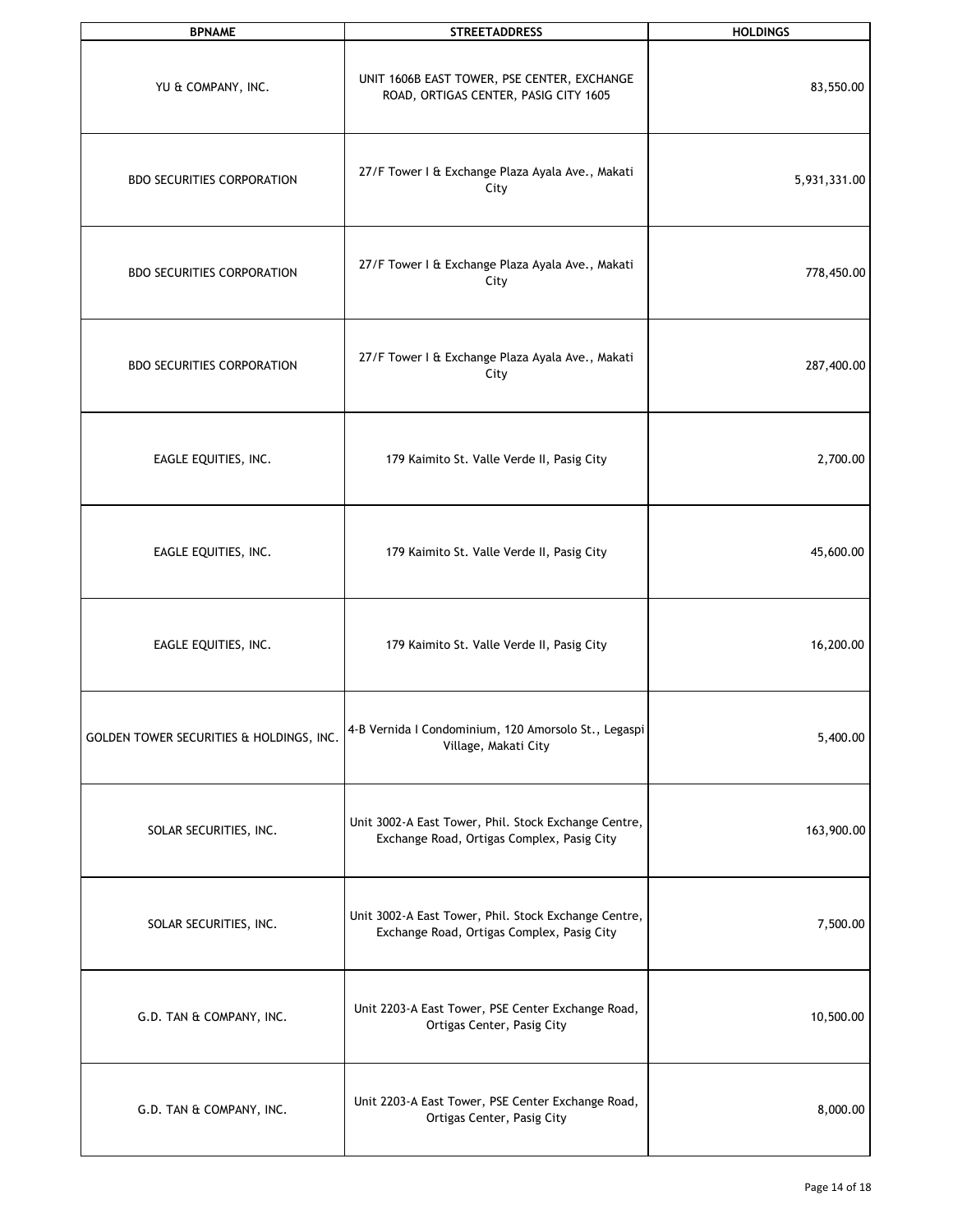| <b>BPNAME</b>                            | <b>STREETADDRESS</b>                                                                               | <b>HOLDINGS</b> |
|------------------------------------------|----------------------------------------------------------------------------------------------------|-----------------|
| YU & COMPANY, INC.                       | UNIT 1606B EAST TOWER, PSE CENTER, EXCHANGE<br>ROAD, ORTIGAS CENTER, PASIG CITY 1605               | 83,550.00       |
| <b>BDO SECURITIES CORPORATION</b>        | 27/F Tower I & Exchange Plaza Ayala Ave., Makati<br>City                                           | 5,931,331.00    |
| <b>BDO SECURITIES CORPORATION</b>        | 27/F Tower I & Exchange Plaza Ayala Ave., Makati<br>City                                           | 778,450.00      |
| <b>BDO SECURITIES CORPORATION</b>        | 27/F Tower I & Exchange Plaza Ayala Ave., Makati<br>City                                           | 287,400.00      |
| EAGLE EQUITIES, INC.                     | 179 Kaimito St. Valle Verde II, Pasig City                                                         | 2,700.00        |
| EAGLE EQUITIES, INC.                     | 179 Kaimito St. Valle Verde II, Pasig City                                                         | 45,600.00       |
| EAGLE EQUITIES, INC.                     | 179 Kaimito St. Valle Verde II, Pasig City                                                         | 16,200.00       |
| GOLDEN TOWER SECURITIES & HOLDINGS, INC. | 4-B Vernida I Condominium, 120 Amorsolo St., Legaspi<br>Village, Makati City                       | 5,400.00        |
| SOLAR SECURITIES, INC.                   | Unit 3002-A East Tower, Phil. Stock Exchange Centre,<br>Exchange Road, Ortigas Complex, Pasig City | 163,900.00      |
| SOLAR SECURITIES, INC.                   | Unit 3002-A East Tower, Phil. Stock Exchange Centre,<br>Exchange Road, Ortigas Complex, Pasig City | 7,500.00        |
| G.D. TAN & COMPANY, INC.                 | Unit 2203-A East Tower, PSE Center Exchange Road,<br>Ortigas Center, Pasig City                    | 10,500.00       |
| G.D. TAN & COMPANY, INC.                 | Unit 2203-A East Tower, PSE Center Exchange Road,<br>Ortigas Center, Pasig City                    | 8,000.00        |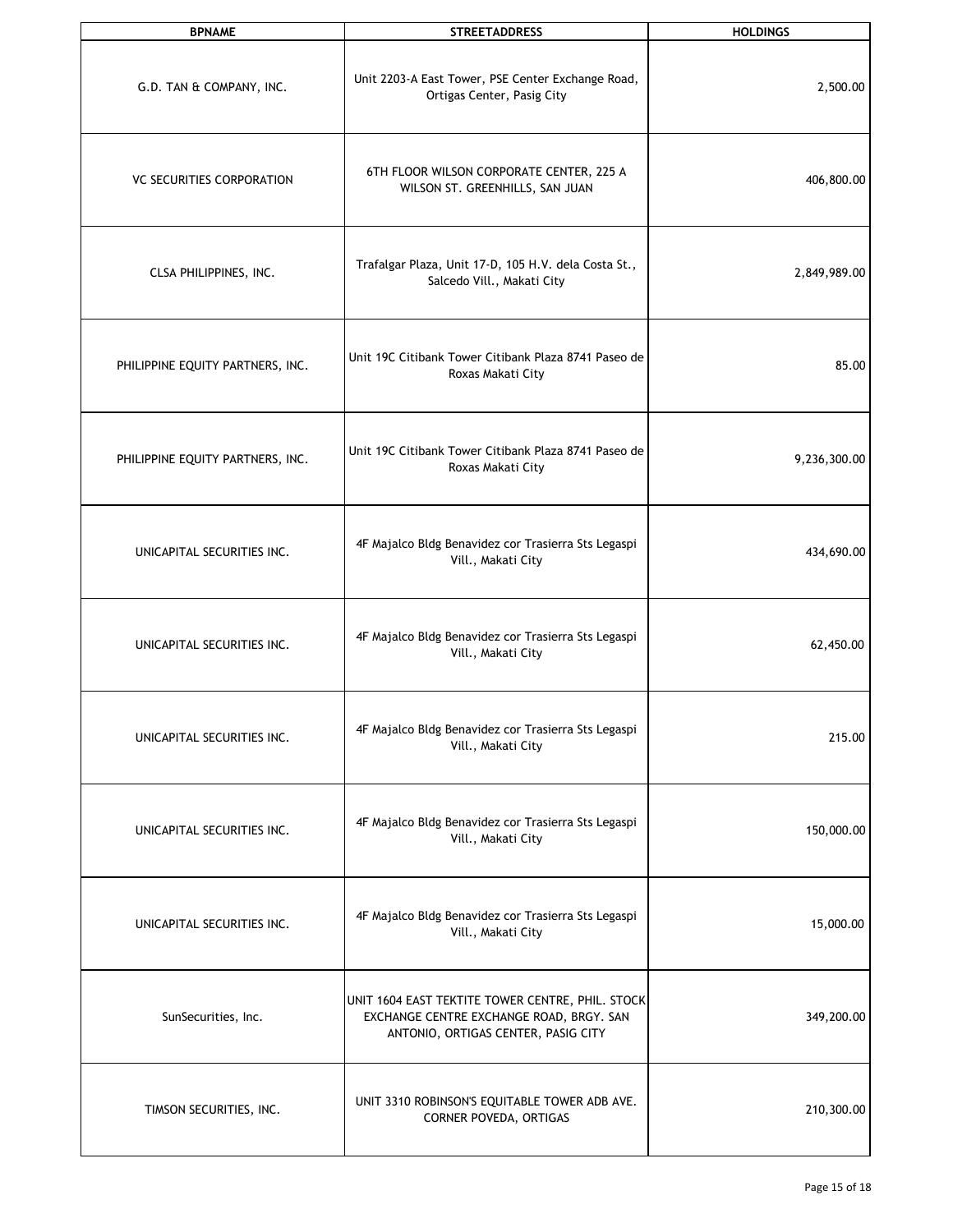| <b>BPNAME</b>                    | <b>STREETADDRESS</b>                                                                                                                | <b>HOLDINGS</b> |
|----------------------------------|-------------------------------------------------------------------------------------------------------------------------------------|-----------------|
| G.D. TAN & COMPANY, INC.         | Unit 2203-A East Tower, PSE Center Exchange Road,<br>Ortigas Center, Pasig City                                                     | 2,500.00        |
| <b>VC SECURITIES CORPORATION</b> | 6TH FLOOR WILSON CORPORATE CENTER, 225 A<br>WILSON ST. GREENHILLS, SAN JUAN                                                         | 406,800.00      |
| CLSA PHILIPPINES, INC.           | Trafalgar Plaza, Unit 17-D, 105 H.V. dela Costa St.,<br>Salcedo Vill., Makati City                                                  | 2,849,989.00    |
| PHILIPPINE EQUITY PARTNERS, INC. | Unit 19C Citibank Tower Citibank Plaza 8741 Paseo de<br>Roxas Makati City                                                           | 85.00           |
| PHILIPPINE EQUITY PARTNERS, INC. | Unit 19C Citibank Tower Citibank Plaza 8741 Paseo de<br>Roxas Makati City                                                           | 9,236,300.00    |
| UNICAPITAL SECURITIES INC.       | 4F Majalco Bldg Benavidez cor Trasierra Sts Legaspi<br>Vill., Makati City                                                           | 434,690.00      |
| UNICAPITAL SECURITIES INC.       | 4F Majalco Bldg Benavidez cor Trasierra Sts Legaspi<br>Vill., Makati City                                                           | 62,450.00       |
| UNICAPITAL SECURITIES INC.       | 4F Majalco Bldg Benavidez cor Trasierra Sts Legaspi<br>Vill., Makati City                                                           | 215.00          |
| UNICAPITAL SECURITIES INC.       | 4F Majalco Bldg Benavidez cor Trasierra Sts Legaspi<br>Vill., Makati City                                                           | 150,000.00      |
| UNICAPITAL SECURITIES INC.       | 4F Majalco Bldg Benavidez cor Trasierra Sts Legaspi<br>Vill., Makati City                                                           | 15,000.00       |
| SunSecurities, Inc.              | UNIT 1604 EAST TEKTITE TOWER CENTRE, PHIL. STOCK<br>EXCHANGE CENTRE EXCHANGE ROAD, BRGY. SAN<br>ANTONIO, ORTIGAS CENTER, PASIG CITY | 349,200.00      |
| TIMSON SECURITIES, INC.          | UNIT 3310 ROBINSON'S EQUITABLE TOWER ADB AVE.<br>CORNER POVEDA, ORTIGAS                                                             | 210,300.00      |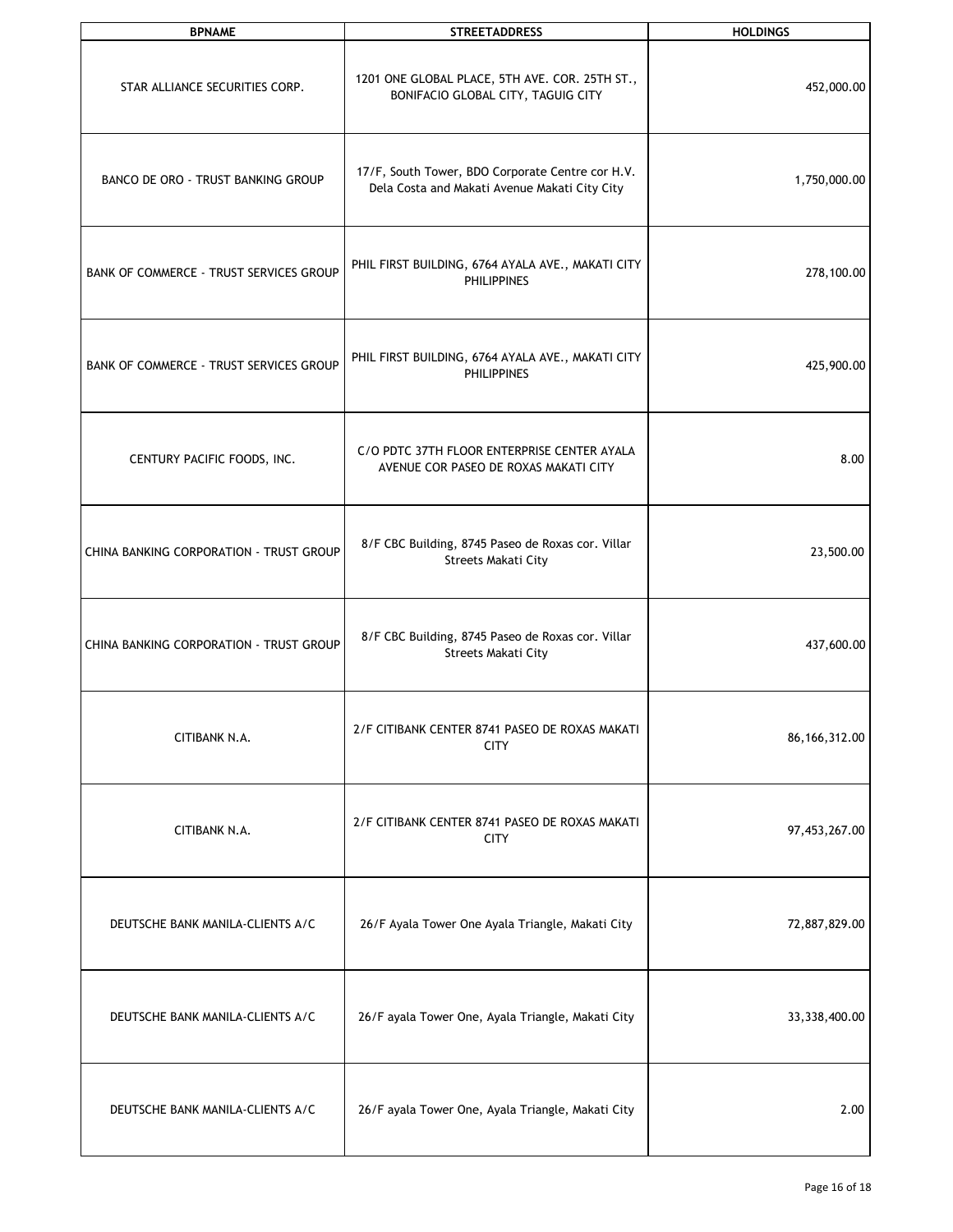| <b>BPNAME</b>                           | <b>STREETADDRESS</b>                                                                              | <b>HOLDINGS</b> |
|-----------------------------------------|---------------------------------------------------------------------------------------------------|-----------------|
| STAR ALLIANCE SECURITIES CORP.          | 1201 ONE GLOBAL PLACE, 5TH AVE. COR. 25TH ST.,<br>BONIFACIO GLOBAL CITY, TAGUIG CITY              | 452,000.00      |
| BANCO DE ORO - TRUST BANKING GROUP      | 17/F, South Tower, BDO Corporate Centre cor H.V.<br>Dela Costa and Makati Avenue Makati City City | 1,750,000.00    |
| BANK OF COMMERCE - TRUST SERVICES GROUP | PHIL FIRST BUILDING, 6764 AYALA AVE., MAKATI CITY<br><b>PHILIPPINES</b>                           | 278,100.00      |
| BANK OF COMMERCE - TRUST SERVICES GROUP | PHIL FIRST BUILDING, 6764 AYALA AVE., MAKATI CITY<br><b>PHILIPPINES</b>                           | 425,900.00      |
| CENTURY PACIFIC FOODS, INC.             | C/O PDTC 37TH FLOOR ENTERPRISE CENTER AYALA<br>AVENUE COR PASEO DE ROXAS MAKATI CITY              | 8.00            |
| CHINA BANKING CORPORATION - TRUST GROUP | 8/F CBC Building, 8745 Paseo de Roxas cor. Villar<br>Streets Makati City                          | 23,500.00       |
| CHINA BANKING CORPORATION - TRUST GROUP | 8/F CBC Building, 8745 Paseo de Roxas cor. Villar<br><b>Streets Makati City</b>                   | 437,600.00      |
| CITIBANK N.A.                           | 2/F CITIBANK CENTER 8741 PASEO DE ROXAS MAKATI<br><b>CITY</b>                                     | 86, 166, 312.00 |
| CITIBANK N.A.                           | 2/F CITIBANK CENTER 8741 PASEO DE ROXAS MAKATI<br><b>CITY</b>                                     | 97,453,267.00   |
| DEUTSCHE BANK MANILA-CLIENTS A/C        | 26/F Ayala Tower One Ayala Triangle, Makati City                                                  | 72,887,829.00   |
| DEUTSCHE BANK MANILA-CLIENTS A/C        | 26/F ayala Tower One, Ayala Triangle, Makati City                                                 | 33,338,400.00   |
| DEUTSCHE BANK MANILA-CLIENTS A/C        | 26/F ayala Tower One, Ayala Triangle, Makati City                                                 | 2.00            |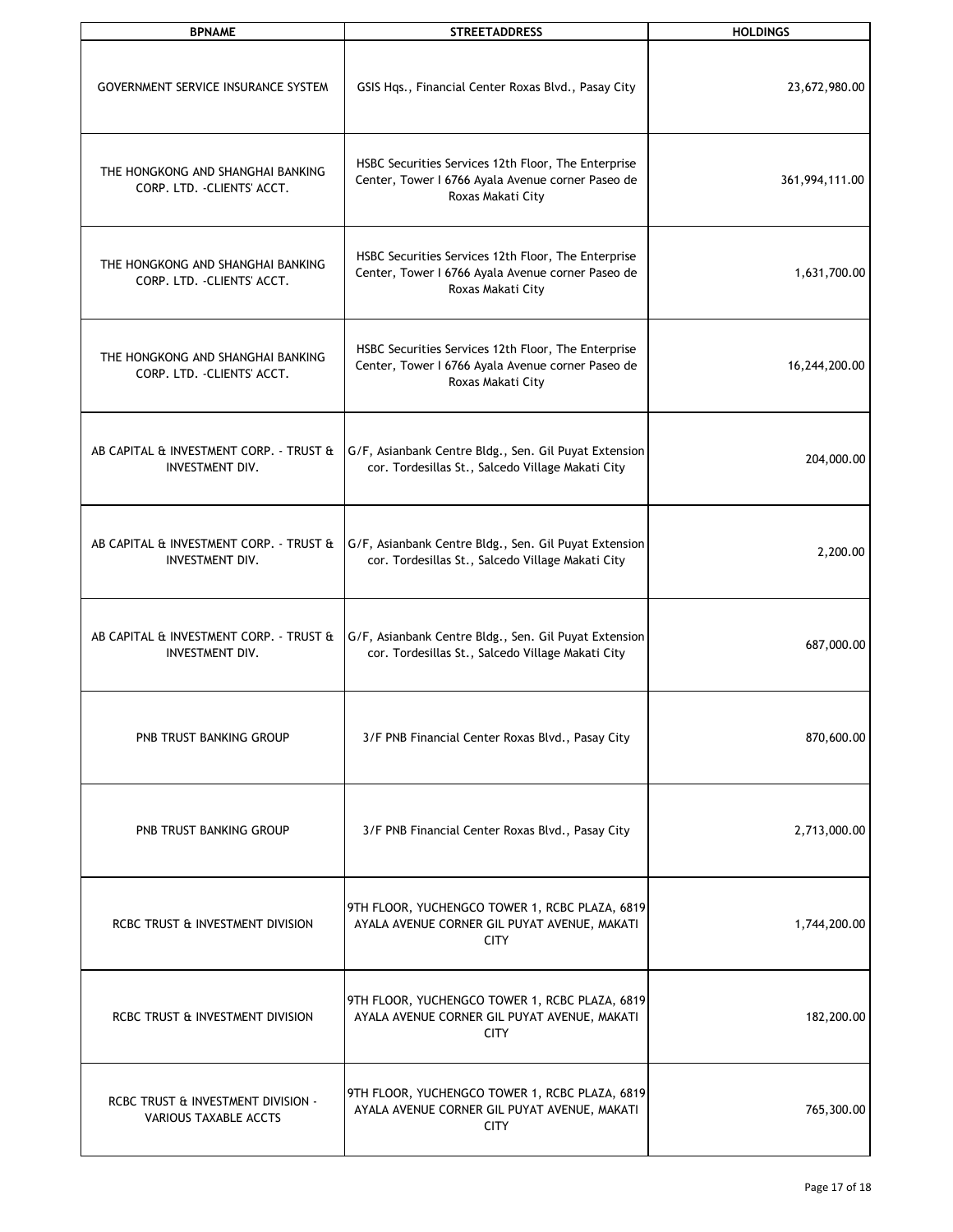| <b>BPNAME</b>                                                     | <b>STREETADDRESS</b>                                                                                                          | <b>HOLDINGS</b> |
|-------------------------------------------------------------------|-------------------------------------------------------------------------------------------------------------------------------|-----------------|
| <b>GOVERNMENT SERVICE INSURANCE SYSTEM</b>                        | GSIS Hqs., Financial Center Roxas Blvd., Pasay City                                                                           | 23,672,980.00   |
| THE HONGKONG AND SHANGHAI BANKING<br>CORP. LTD. - CLIENTS' ACCT.  | HSBC Securities Services 12th Floor, The Enterprise<br>Center, Tower I 6766 Ayala Avenue corner Paseo de<br>Roxas Makati City | 361,994,111.00  |
| THE HONGKONG AND SHANGHAI BANKING<br>CORP. LTD. - CLIENTS' ACCT.  | HSBC Securities Services 12th Floor, The Enterprise<br>Center, Tower I 6766 Ayala Avenue corner Paseo de<br>Roxas Makati City | 1,631,700.00    |
| THE HONGKONG AND SHANGHAI BANKING<br>CORP. LTD. - CLIENTS' ACCT.  | HSBC Securities Services 12th Floor, The Enterprise<br>Center, Tower I 6766 Ayala Avenue corner Paseo de<br>Roxas Makati City | 16,244,200.00   |
| AB CAPITAL & INVESTMENT CORP. - TRUST &<br><b>INVESTMENT DIV.</b> | G/F, Asianbank Centre Bldg., Sen. Gil Puyat Extension<br>cor. Tordesillas St., Salcedo Village Makati City                    | 204,000.00      |
| AB CAPITAL & INVESTMENT CORP. - TRUST &<br>INVESTMENT DIV.        | G/F, Asianbank Centre Bldg., Sen. Gil Puyat Extension<br>cor. Tordesillas St., Salcedo Village Makati City                    | 2,200.00        |
| AB CAPITAL & INVESTMENT CORP. - TRUST &<br><b>INVESTMENT DIV.</b> | G/F, Asianbank Centre Bldg., Sen. Gil Puyat Extension<br>cor. Tordesillas St., Salcedo Village Makati City                    | 687,000.00      |
| PNB TRUST BANKING GROUP                                           | 3/F PNB Financial Center Roxas Blvd., Pasay City                                                                              | 870,600.00      |
| PNB TRUST BANKING GROUP                                           | 3/F PNB Financial Center Roxas Blvd., Pasay City                                                                              | 2,713,000.00    |
| RCBC TRUST & INVESTMENT DIVISION                                  | 9TH FLOOR, YUCHENGCO TOWER 1, RCBC PLAZA, 6819<br>AYALA AVENUE CORNER GIL PUYAT AVENUE, MAKATI<br><b>CITY</b>                 | 1,744,200.00    |
| RCBC TRUST & INVESTMENT DIVISION                                  | 9TH FLOOR, YUCHENGCO TOWER 1, RCBC PLAZA, 6819<br>AYALA AVENUE CORNER GIL PUYAT AVENUE, MAKATI<br><b>CITY</b>                 | 182,200.00      |
| RCBC TRUST & INVESTMENT DIVISION -<br>VARIOUS TAXABLE ACCTS       | 9TH FLOOR, YUCHENGCO TOWER 1, RCBC PLAZA, 6819<br>AYALA AVENUE CORNER GIL PUYAT AVENUE, MAKATI<br><b>CITY</b>                 | 765,300.00      |